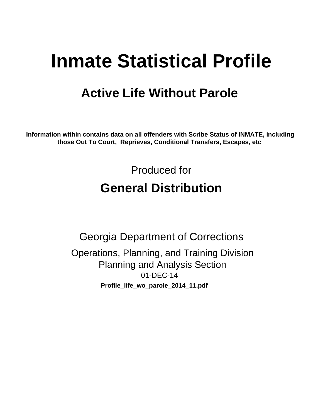# **Inmate Statistical Profile**

## **Active Life Without Parole**

Information within contains data on all offenders with Scribe Status of INMATE, including those Out To Court, Reprieves, Conditional Transfers, Escapes, etc

> Produced for **General Distribution**

**Georgia Department of Corrections** Operations, Planning, and Training Division **Planning and Analysis Section** 01-DEC-14 Profile\_life\_wo\_parole\_2014\_11.pdf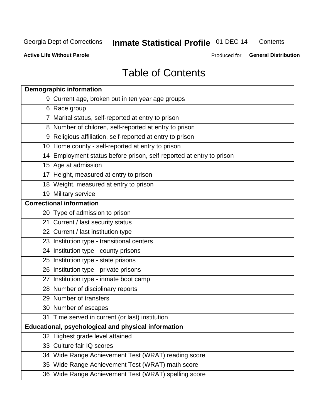#### **Inmate Statistical Profile 01-DEC-14** Contents

**Active Life Without Parole** 

Produced for General Distribution

## **Table of Contents**

| <b>Demographic information</b>                                       |
|----------------------------------------------------------------------|
| 9 Current age, broken out in ten year age groups                     |
| 6 Race group                                                         |
| 7 Marital status, self-reported at entry to prison                   |
| 8 Number of children, self-reported at entry to prison               |
| 9 Religious affiliation, self-reported at entry to prison            |
| 10 Home county - self-reported at entry to prison                    |
| 14 Employment status before prison, self-reported at entry to prison |
| 15 Age at admission                                                  |
| 17 Height, measured at entry to prison                               |
| 18 Weight, measured at entry to prison                               |
| 19 Military service                                                  |
| <b>Correctional information</b>                                      |
| 20 Type of admission to prison                                       |
| 21 Current / last security status                                    |
| 22 Current / last institution type                                   |
| 23 Institution type - transitional centers                           |
| 24 Institution type - county prisons                                 |
| 25 Institution type - state prisons                                  |
| 26 Institution type - private prisons                                |
| 27 Institution type - inmate boot camp                               |
| 28 Number of disciplinary reports                                    |
| 29 Number of transfers                                               |
| 30 Number of escapes                                                 |
| 31 Time served in current (or last) institution                      |
| <b>Educational, psychological and physical information</b>           |
| 32 Highest grade level attained                                      |
| 33 Culture fair IQ scores                                            |
| 34 Wide Range Achievement Test (WRAT) reading score                  |
| 35 Wide Range Achievement Test (WRAT) math score                     |
| 36 Wide Range Achievement Test (WRAT) spelling score                 |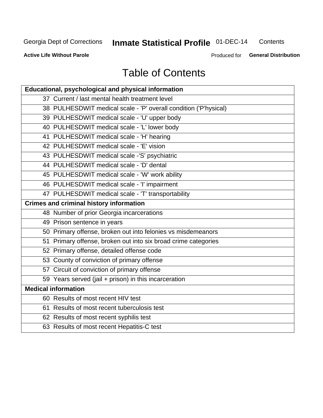## **Inmate Statistical Profile 01-DEC-14**

Contents

**Active Life Without Parole** 

Produced for General Distribution

## **Table of Contents**

| <b>Educational, psychological and physical information</b>       |
|------------------------------------------------------------------|
| 37 Current / last mental health treatment level                  |
| 38 PULHESDWIT medical scale - 'P' overall condition ('P'hysical) |
| 39 PULHESDWIT medical scale - 'U' upper body                     |
| 40 PULHESDWIT medical scale - 'L' lower body                     |
| 41 PULHESDWIT medical scale - 'H' hearing                        |
| 42 PULHESDWIT medical scale - 'E' vision                         |
| 43 PULHESDWIT medical scale -'S' psychiatric                     |
| 44 PULHESDWIT medical scale - 'D' dental                         |
| 45 PULHESDWIT medical scale - 'W' work ability                   |
| 46 PULHESDWIT medical scale - 'I' impairment                     |
| 47 PULHESDWIT medical scale - 'T' transportability               |
| <b>Crimes and criminal history information</b>                   |
| 48 Number of prior Georgia incarcerations                        |
| 49 Prison sentence in years                                      |
| 50 Primary offense, broken out into felonies vs misdemeanors     |
| 51 Primary offense, broken out into six broad crime categories   |
| 52 Primary offense, detailed offense code                        |
| 53 County of conviction of primary offense                       |
| 57 Circuit of conviction of primary offense                      |
| 59 Years served (jail + prison) in this incarceration            |
| <b>Medical information</b>                                       |
| 60 Results of most recent HIV test                               |
| 61 Results of most recent tuberculosis test                      |
| 62 Results of most recent syphilis test                          |
| 63 Results of most recent Hepatitis-C test                       |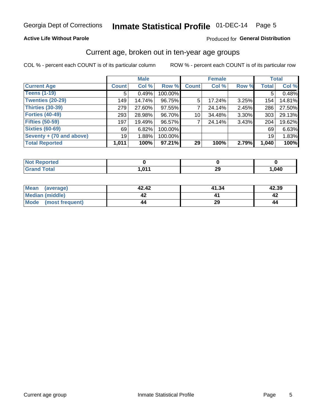### **Active Life Without Parole**

### Produced for General Distribution

### Current age, broken out in ten-year age groups

COL % - percent each COUNT is of its particular column

|                          |              | <b>Male</b> |           |                    | <b>Female</b> |          |              | <b>Total</b> |
|--------------------------|--------------|-------------|-----------|--------------------|---------------|----------|--------------|--------------|
| <b>Current Age</b>       | <b>Count</b> | Col %       | Row %     | Count <sup>'</sup> | Col %         | Row %    | <b>Total</b> | Col %        |
| <b>Teens (1-19)</b>      | 5            | 0.49%       | 100.00%   |                    |               |          | 5            | 0.48%        |
| <b>Twenties (20-29)</b>  | 149          | 14.74%      | 96.75%    | 5                  | 17.24%        | $3.25\%$ | 154          | 14.81%       |
| Thirties (30-39)         | 279          | 27.60%      | 97.55%    |                    | 24.14%        | $2.45\%$ | 286          | 27.50%       |
| <b>Forties (40-49)</b>   | 293          | 28.98%      | 96.70%    | 10                 | 34.48%        | 3.30%    | 303          | 29.13%       |
| <b>Fifties (50-59)</b>   | 197          | 19.49%      | 96.57%    |                    | 24.14%        | 3.43%    | 204          | 19.62%       |
| <b>Sixties (60-69)</b>   | 69           | 6.82%       | 100.00%   |                    |               |          | 69           | 6.63%        |
| Seventy + (70 and above) | 19           | 1.88%       | 100.00%   |                    |               |          | 19           | 1.83%        |
| <b>Total Reported</b>    | 1,011        | 100%        | $97.21\%$ | 29                 | 100%          | 2.79%    | 1,040        | 100%         |

| <b>sted</b><br>m.   |            |           |      |
|---------------------|------------|-----------|------|
| $f \circ f \circ f$ | <b>044</b> | nr.<br>LJ | ,040 |

| Mean<br>(average)    | 42.42 | 41.34 | 42.39 |
|----------------------|-------|-------|-------|
| Median (middle)      |       |       |       |
| Mode (most frequent) | 44    | 29    | 44    |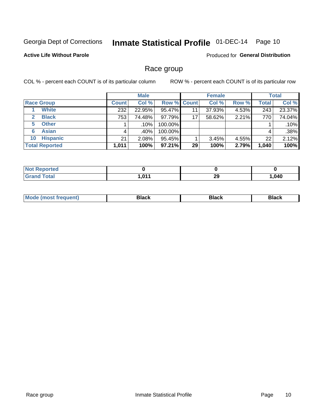## Inmate Statistical Profile 01-DEC-14 Page 10

### **Active Life Without Parole**

Produced for General Distribution

### Race group

COL % - percent each COUNT is of its particular column

|                              | <b>Male</b>  |        |                    | <b>Female</b> |        |       | <b>Total</b> |        |
|------------------------------|--------------|--------|--------------------|---------------|--------|-------|--------------|--------|
| <b>Race Group</b>            | <b>Count</b> | Col %  | <b>Row % Count</b> |               | Col %  | Row % | <b>Total</b> | Col %  |
| <b>White</b>                 | 232          | 22.95% | 95.47%             | 11            | 37.93% | 4.53% | 243          | 23.37% |
| <b>Black</b><br>$\mathbf{2}$ | 753          | 74.48% | 97.79%             | 17            | 58.62% | 2.21% | 770          | 74.04% |
| <b>Other</b><br>5.           |              | .10%   | 100.00%            |               |        |       |              | .10%   |
| <b>Asian</b><br>6            | 4            | .40% ! | 100.00%            |               |        |       | 4            | .38%   |
| <b>Hispanic</b><br>10        | 21           | 2.08%  | 95.45%             |               | 3.45%  | 4.55% | 22           | 2.12%  |
| <b>Total Reported</b>        | 1,011        | 100%   | $97.21\%$          | 29            | 100%   | 2.79% | 1,040        | 100%   |

| <b>Not Reported</b> |      |     |        |
|---------------------|------|-----|--------|
| <b>Total</b>        | .011 | ה ה | 040, ا |
| . Grar              | .ש   | 23  |        |

| M | - - - |  |
|---|-------|--|
|   |       |  |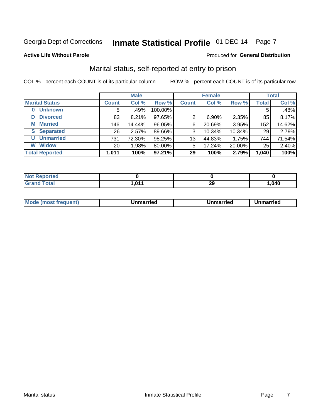## Inmate Statistical Profile 01-DEC-14 Page 7

### **Active Life Without Parole**

#### Produced for General Distribution

### Marital status, self-reported at entry to prison

COL % - percent each COUNT is of its particular column

|                            |                 | <b>Male</b> |         |              | <b>Female</b> |        |              | <b>Total</b> |
|----------------------------|-----------------|-------------|---------|--------------|---------------|--------|--------------|--------------|
| <b>Marital Status</b>      | <b>Count</b>    | Col %       | Row %   | <b>Count</b> | Col %         | Row %  | <b>Total</b> | Col %        |
| <b>Unknown</b><br>$\bf{0}$ | 5               | .49%        | 100.00% |              |               |        | 5            | .48%         |
| <b>Divorced</b><br>D       | 83              | 8.21%       | 97.65%  | 2            | $6.90\%$      | 2.35%  | 85           | 8.17%        |
| <b>Married</b><br>М        | 146             | 14.44%      | 96.05%  | 6            | 20.69%        | 3.95%  | 152          | 14.62%       |
| <b>Separated</b><br>S      | 26              | 2.57%       | 89.66%  | 3            | 10.34%        | 10.34% | 29           | 2.79%        |
| <b>Unmarried</b><br>U      | 731             | 72.30%      | 98.25%  | 13           | 44.83%        | 1.75%  | 744          | 71.54%       |
| <b>Widow</b><br>W          | 20 <sub>1</sub> | 1.98%       | 80.00%  | 5            | 17.24%        | 20.00% | 25           | 2.40%        |
| <b>Total Reported</b>      | 1,011           | 100%        | 97.21%  | 29           | 100%          | 2.79%  | 1,040        | 100%         |

| <b>Not Reported</b> |                          |   |      |
|---------------------|--------------------------|---|------|
| <b>Total</b>        | .01 <sub>4</sub><br>ווטו | ົ | ,040 |

|  | Mo | ımarrıed | Unmarried | Unmarried<br>_______ |
|--|----|----------|-----------|----------------------|
|--|----|----------|-----------|----------------------|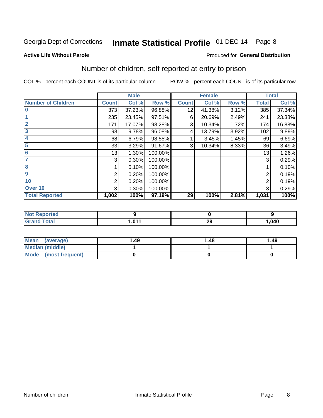## Inmate Statistical Profile 01-DEC-14 Page 8

#### **Active Life Without Parole**

### **Produced for General Distribution**

## Number of children, self reported at entry to prison

COL % - percent each COUNT is of its particular column

|                           |                | <b>Male</b> |         |              | <b>Female</b> |       |              | <b>Total</b> |
|---------------------------|----------------|-------------|---------|--------------|---------------|-------|--------------|--------------|
| <b>Number of Children</b> | <b>Count</b>   | Col %       | Row %   | <b>Count</b> | Col %         | Row % | <b>Total</b> | Col %        |
| $\bf{0}$                  | 373            | 37.23%      | 96.88%  | 12           | 41.38%        | 3.12% | 385          | 37.34%       |
|                           | 235            | 23.45%      | 97.51%  | 6            | 20.69%        | 2.49% | 241          | 23.38%       |
| $\overline{2}$            | 171            | 17.07%      | 98.28%  | 3            | 10.34%        | 1.72% | 174          | 16.88%       |
| 3                         | 98             | 9.78%       | 96.08%  | 4            | 13.79%        | 3.92% | 102          | 9.89%        |
| 4                         | 68             | 6.79%       | 98.55%  |              | 3.45%         | 1.45% | 69           | 6.69%        |
| 5                         | 33             | 3.29%       | 91.67%  | 3            | 10.34%        | 8.33% | 36           | 3.49%        |
| 6                         | 13             | 1.30%       | 100.00% |              |               |       | 13           | 1.26%        |
| 7                         | 3              | 0.30%       | 100.00% |              |               |       | 3            | 0.29%        |
| 8                         |                | 0.10%       | 100.00% |              |               |       |              | 0.10%        |
| 9                         | 2              | 0.20%       | 100.00% |              |               |       | 2            | 0.19%        |
| 10                        | $\overline{2}$ | 0.20%       | 100.00% |              |               |       | 2            | 0.19%        |
| Over 10                   | 3              | 0.30%       | 100.00% |              |               |       | 3            | 0.29%        |
| <b>Total Reported</b>     | 1,002          | 100%        | 97.19%  | 29           | 100%          | 2.81% | 1,031        | 100%         |

| жео                             |      |           |      |
|---------------------------------|------|-----------|------|
| $\mathcal{L}$ and $\mathcal{L}$ | 0.44 | nr.<br>23 | .040 |

| Mean<br>(average)       | 1.49 | 1.48 | 1.49 |
|-------------------------|------|------|------|
| Median (middle)         |      |      |      |
| Mode<br>(most frequent) |      |      |      |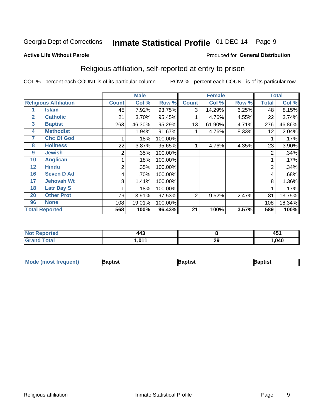#### Inmate Statistical Profile 01-DEC-14 Page 9

#### **Active Life Without Parole**

### Produced for General Distribution

### Religious affiliation, self-reported at entry to prison

COL % - percent each COUNT is of its particular column

|              |                              |                | <b>Male</b> |         |                | <b>Female</b> |       |       | <b>Total</b> |
|--------------|------------------------------|----------------|-------------|---------|----------------|---------------|-------|-------|--------------|
|              | <b>Religious Affiliation</b> | <b>Count</b>   | Col %       | Row %   | <b>Count</b>   | Col %         | Row % | Total | Col %        |
|              | Islam                        | 45             | 7.92%       | 93.75%  | 3              | 14.29%        | 6.25% | 48    | 8.15%        |
| $\mathbf{2}$ | <b>Catholic</b>              | 21             | 3.70%       | 95.45%  |                | 4.76%         | 4.55% | 22    | 3.74%        |
| 3            | <b>Baptist</b>               | 263            | 46.30%      | 95.29%  | 13             | 61.90%        | 4.71% | 276   | 46.86%       |
| 4            | <b>Methodist</b>             | 11             | 1.94%       | 91.67%  |                | 4.76%         | 8.33% | 12    | 2.04%        |
| 7            | <b>Chc Of God</b>            |                | .18%        | 100.00% |                |               |       |       | .17%         |
| 8            | <b>Holiness</b>              | 22             | 3.87%       | 95.65%  |                | 4.76%         | 4.35% | 23    | 3.90%        |
| 9            | <b>Jewish</b>                | 2              | .35%        | 100.00% |                |               |       | 2     | .34%         |
| 10           | <b>Anglican</b>              |                | .18%        | 100.00% |                |               |       |       | .17%         |
| 12           | <b>Hindu</b>                 | $\overline{2}$ | .35%        | 100.00% |                |               |       | 2     | .34%         |
| 16           | <b>Seven D Ad</b>            | 4              | .70%        | 100.00% |                |               |       | 4     | .68%         |
| 17           | <b>Jehovah Wt</b>            | 8              | 1.41%       | 100.00% |                |               |       | 8     | 1.36%        |
| 18           | <b>Latr Day S</b>            |                | .18%        | 100.00% |                |               |       |       | .17%         |
| 20           | <b>Other Prot</b>            | 79             | 13.91%      | 97.53%  | $\overline{2}$ | 9.52%         | 2.47% | 81    | 13.75%       |
| 96           | <b>None</b>                  | 108            | 19.01%      | 100.00% |                |               |       | 108   | 18.34%       |
|              | <b>Total Reported</b>        | 568            | 100%        | 96.43%  | 21             | 100%          | 3.57% | 589   | 100%         |

| <b>Not Reported</b>        | 443                |    | $\overline{ }$<br>л.<br>47 |
|----------------------------|--------------------|----|----------------------------|
| <b>Total</b><br><b>. .</b> | $\sim$<br>1, V I I | 29 | 040, ا                     |

| <b>Mode</b><br>most frequent) | 3aptist | aptist | 3aptist |
|-------------------------------|---------|--------|---------|
|                               |         |        |         |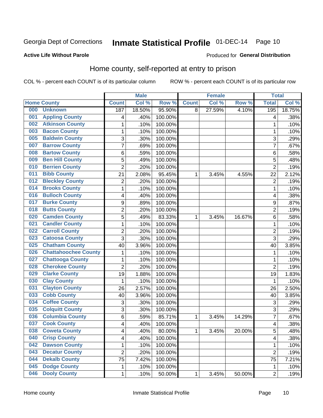## Inmate Statistical Profile 01-DEC-14 Page 10

### **Active Life Without Parole**

### Produced for General Distribution

### Home county, self-reported at entry to prison

COL % - percent each COUNT is of its particular column

|     |                             |                         | <b>Male</b> |         |              | <b>Female</b> |        | <b>Total</b>   |        |
|-----|-----------------------------|-------------------------|-------------|---------|--------------|---------------|--------|----------------|--------|
|     | <b>Home County</b>          | <b>Count</b>            | Col %       | Row %   | <b>Count</b> | Col %         | Row %  | <b>Total</b>   | Col %  |
| 000 | <b>Unknown</b>              | 187                     | 18.50%      | 95.90%  | 8            | 27.59%        | 4.10%  | 195            | 18.75% |
| 001 | <b>Appling County</b>       | 4                       | .40%        | 100.00% |              |               |        | 4              | .38%   |
| 002 | <b>Atkinson County</b>      | $\mathbf 1$             | .10%        | 100.00% |              |               |        | 1              | .10%   |
| 003 | <b>Bacon County</b>         | $\mathbf{1}$            | .10%        | 100.00% |              |               |        | 1              | .10%   |
| 005 | <b>Baldwin County</b>       | 3                       | .30%        | 100.00% |              |               |        | 3              | .29%   |
| 007 | <b>Barrow County</b>        | $\overline{7}$          | .69%        | 100.00% |              |               |        | 7              | .67%   |
| 008 | <b>Bartow County</b>        | 6                       | .59%        | 100.00% |              |               |        | 6              | .58%   |
| 009 | <b>Ben Hill County</b>      | 5                       | .49%        | 100.00% |              |               |        | 5              | .48%   |
| 010 | <b>Berrien County</b>       | $\overline{2}$          | .20%        | 100.00% |              |               |        | $\overline{2}$ | .19%   |
| 011 | <b>Bibb County</b>          | 21                      | 2.08%       | 95.45%  | 1            | 3.45%         | 4.55%  | 22             | 2.12%  |
| 012 | <b>Bleckley County</b>      | $\overline{c}$          | .20%        | 100.00% |              |               |        | $\overline{2}$ | .19%   |
| 014 | <b>Brooks County</b>        | $\mathbf 1$             | .10%        | 100.00% |              |               |        | 1              | .10%   |
| 016 | <b>Bulloch County</b>       | 4                       | .40%        | 100.00% |              |               |        | 4              | .38%   |
| 017 | <b>Burke County</b>         | 9                       | .89%        | 100.00% |              |               |        | 9              | .87%   |
| 018 | <b>Butts County</b>         | $\overline{2}$          | .20%        | 100.00% |              |               |        | $\overline{2}$ | .19%   |
| 020 | <b>Camden County</b>        | 5                       | .49%        | 83.33%  | 1            | 3.45%         | 16.67% | 6              | .58%   |
| 021 | <b>Candler County</b>       | $\mathbf 1$             | .10%        | 100.00% |              |               |        | 1              | .10%   |
| 022 | <b>Carroll County</b>       | $\overline{\mathbf{c}}$ | .20%        | 100.00% |              |               |        | $\overline{2}$ | .19%   |
| 023 | <b>Catoosa County</b>       | 3                       | .30%        | 100.00% |              |               |        | 3              | .29%   |
| 025 | <b>Chatham County</b>       | 40                      | 3.96%       | 100.00% |              |               |        | 40             | 3.85%  |
| 026 | <b>Chattahoochee County</b> | $\mathbf 1$             | .10%        | 100.00% |              |               |        | $\mathbf 1$    | .10%   |
| 027 | <b>Chattooga County</b>     | $\mathbf{1}$            | .10%        | 100.00% |              |               |        | 1              | .10%   |
| 028 | <b>Cherokee County</b>      | $\overline{2}$          | .20%        | 100.00% |              |               |        | $\overline{2}$ | .19%   |
| 029 | <b>Clarke County</b>        | 19                      | 1.88%       | 100.00% |              |               |        | 19             | 1.83%  |
| 030 | <b>Clay County</b>          | $\mathbf 1$             | .10%        | 100.00% |              |               |        | $\mathbf 1$    | .10%   |
| 031 | <b>Clayton County</b>       | 26                      | 2.57%       | 100.00% |              |               |        | 26             | 2.50%  |
| 033 | <b>Cobb County</b>          | 40                      | 3.96%       | 100.00% |              |               |        | 40             | 3.85%  |
| 034 | <b>Coffee County</b>        | 3                       | .30%        | 100.00% |              |               |        | 3              | .29%   |
| 035 | <b>Colquitt County</b>      | 3                       | .30%        | 100.00% |              |               |        | 3              | .29%   |
| 036 | <b>Columbia County</b>      | 6                       | .59%        | 85.71%  | 1            | 3.45%         | 14.29% | 7              | .67%   |
| 037 | <b>Cook County</b>          | $\overline{\mathbf{4}}$ | .40%        | 100.00% |              |               |        | 4              | .38%   |
| 038 | <b>Coweta County</b>        | 4                       | .40%        | 80.00%  | 1            | 3.45%         | 20.00% | 5              | .48%   |
| 040 | <b>Crisp County</b>         | $\overline{\mathbf{4}}$ | .40%        | 100.00% |              |               |        | 4              | .38%   |
| 042 | <b>Dawson County</b>        | $\mathbf{1}$            | .10%        | 100.00% |              |               |        | 1              | .10%   |
| 043 | <b>Decatur County</b>       | $\overline{c}$          | .20%        | 100.00% |              |               |        | $\overline{2}$ | .19%   |
| 044 | <b>Dekalb County</b>        | 75                      | 7.42%       | 100.00% |              |               |        | 75             | 7.21%  |
| 045 | <b>Dodge County</b>         | $\mathbf{1}$            | .10%        | 100.00% |              |               |        | $\mathbf{1}$   | .10%   |
| 046 | <b>Dooly County</b>         | $\mathbf 1$             | .10%        | 50.00%  | $\mathbf 1$  | 3.45%         | 50.00% | $\overline{2}$ | .19%   |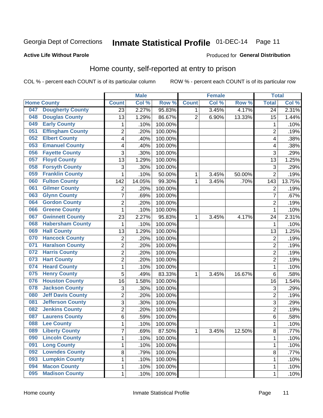## Inmate Statistical Profile 01-DEC-14 Page 11

### **Active Life Without Parole**

#### Produced for General Distribution

### Home county, self-reported at entry to prison

COL % - percent each COUNT is of its particular column

|     |                          |                         | <b>Male</b> |         |                | <b>Female</b> |        | <b>Total</b>            |        |
|-----|--------------------------|-------------------------|-------------|---------|----------------|---------------|--------|-------------------------|--------|
|     | <b>Home County</b>       | <b>Count</b>            | Col %       | Row %   | <b>Count</b>   | Col %         | Row %  | <b>Total</b>            | Col %  |
| 047 | <b>Dougherty County</b>  | 23                      | 2.27%       | 95.83%  | 1              | 3.45%         | 4.17%  | 24                      | 2.31%  |
| 048 | <b>Douglas County</b>    | 13                      | 1.29%       | 86.67%  | $\overline{2}$ | 6.90%         | 13.33% | 15                      | 1.44%  |
| 049 | <b>Early County</b>      | 1                       | .10%        | 100.00% |                |               |        | 1                       | .10%   |
| 051 | <b>Effingham County</b>  | $\overline{c}$          | .20%        | 100.00% |                |               |        | $\overline{2}$          | .19%   |
| 052 | <b>Elbert County</b>     | 4                       | .40%        | 100.00% |                |               |        | $\overline{\mathbf{4}}$ | .38%   |
| 053 | <b>Emanuel County</b>    | 4                       | .40%        | 100.00% |                |               |        | 4                       | .38%   |
| 056 | <b>Fayette County</b>    | 3                       | .30%        | 100.00% |                |               |        | 3                       | .29%   |
| 057 | <b>Floyd County</b>      | 13                      | 1.29%       | 100.00% |                |               |        | 13                      | 1.25%  |
| 058 | <b>Forsyth County</b>    | 3                       | .30%        | 100.00% |                |               |        | 3                       | .29%   |
| 059 | <b>Franklin County</b>   | $\mathbf 1$             | .10%        | 50.00%  | 1              | 3.45%         | 50.00% | $\overline{2}$          | .19%   |
| 060 | <b>Fulton County</b>     | 142                     | 14.05%      | 99.30%  | 1              | 3.45%         | .70%   | 143                     | 13.75% |
| 061 | <b>Gilmer County</b>     | $\overline{2}$          | .20%        | 100.00% |                |               |        | $\overline{2}$          | .19%   |
| 063 | <b>Glynn County</b>      | $\overline{7}$          | .69%        | 100.00% |                |               |        | 7                       | .67%   |
| 064 | <b>Gordon County</b>     | $\overline{2}$          | .20%        | 100.00% |                |               |        | $\overline{2}$          | .19%   |
| 066 | <b>Greene County</b>     | 1                       | .10%        | 100.00% |                |               |        | 1                       | .10%   |
| 067 | <b>Gwinnett County</b>   | 23                      | 2.27%       | 95.83%  | 1              | 3.45%         | 4.17%  | 24                      | 2.31%  |
| 068 | <b>Habersham County</b>  | 1                       | .10%        | 100.00% |                |               |        | 1                       | .10%   |
| 069 | <b>Hall County</b>       | 13                      | 1.29%       | 100.00% |                |               |        | 13                      | 1.25%  |
| 070 | <b>Hancock County</b>    | $\overline{\mathbf{c}}$ | .20%        | 100.00% |                |               |        | $\overline{2}$          | .19%   |
| 071 | <b>Haralson County</b>   | $\overline{2}$          | .20%        | 100.00% |                |               |        | $\overline{2}$          | .19%   |
| 072 | <b>Harris County</b>     | $\overline{c}$          | .20%        | 100.00% |                |               |        | $\overline{2}$          | .19%   |
| 073 | <b>Hart County</b>       | $\overline{2}$          | .20%        | 100.00% |                |               |        | $\overline{2}$          | .19%   |
| 074 | <b>Heard County</b>      | $\mathbf{1}$            | .10%        | 100.00% |                |               |        | 1                       | .10%   |
| 075 | <b>Henry County</b>      | 5                       | .49%        | 83.33%  | 1              | 3.45%         | 16.67% | 6                       | .58%   |
| 076 | <b>Houston County</b>    | 16                      | 1.58%       | 100.00% |                |               |        | 16                      | 1.54%  |
| 078 | <b>Jackson County</b>    | 3                       | .30%        | 100.00% |                |               |        | 3                       | .29%   |
| 080 | <b>Jeff Davis County</b> | $\overline{c}$          | .20%        | 100.00% |                |               |        | $\overline{2}$          | .19%   |
| 081 | <b>Jefferson County</b>  | 3                       | .30%        | 100.00% |                |               |        | 3                       | .29%   |
| 082 | <b>Jenkins County</b>    | $\overline{c}$          | .20%        | 100.00% |                |               |        | $\overline{2}$          | .19%   |
| 087 | <b>Laurens County</b>    | 6                       | .59%        | 100.00% |                |               |        | 6                       | .58%   |
| 088 | <b>Lee County</b>        | 1                       | .10%        | 100.00% |                |               |        | 1                       | .10%   |
| 089 | <b>Liberty County</b>    | $\overline{7}$          | .69%        | 87.50%  | 1              | 3.45%         | 12.50% | 8                       | .77%   |
| 090 | <b>Lincoln County</b>    | 1                       | .10%        | 100.00% |                |               |        | 1                       | .10%   |
| 091 | <b>Long County</b>       | $\mathbf{1}$            | .10%        | 100.00% |                |               |        | 1                       | .10%   |
| 092 | <b>Lowndes County</b>    | 8                       | .79%        | 100.00% |                |               |        | 8                       | .77%   |
| 093 | <b>Lumpkin County</b>    | $\mathbf{1}$            | .10%        | 100.00% |                |               |        | 1                       | .10%   |
| 094 | <b>Macon County</b>      | $\mathbf{1}$            | .10%        | 100.00% |                |               |        | 1                       | .10%   |
| 095 | <b>Madison County</b>    | $\mathbf{1}$            | .10%        | 100.00% |                |               |        | 1                       | .10%   |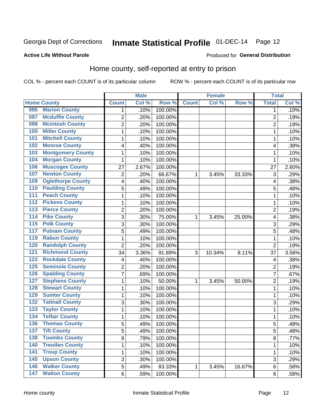## Inmate Statistical Profile 01-DEC-14 Page 12

### **Active Life Without Parole**

#### Produced for General Distribution

### Home county, self-reported at entry to prison

COL % - percent each COUNT is of its particular column

|                  |                          |                | <b>Male</b> |         |              | <b>Female</b> |        | <b>Total</b>   |       |
|------------------|--------------------------|----------------|-------------|---------|--------------|---------------|--------|----------------|-------|
|                  | <b>Home County</b>       | <b>Count</b>   | Col%        | Row %   | <b>Count</b> | Col %         | Row %  | <b>Total</b>   | Col % |
| 096              | <b>Marion County</b>     | 1              | .10%        | 100.00% |              |               |        | 1              | .10%  |
| 097              | <b>Mcduffie County</b>   | $\overline{2}$ | .20%        | 100.00% |              |               |        | $\overline{2}$ | .19%  |
| 098              | <b>Mcintosh County</b>   | $\overline{c}$ | .20%        | 100.00% |              |               |        | $\overline{c}$ | .19%  |
| 100              | <b>Miller County</b>     | 1              | .10%        | 100.00% |              |               |        | 1              | .10%  |
| 101              | <b>Mitchell County</b>   | 1              | .10%        | 100.00% |              |               |        | 1              | .10%  |
| 102              | <b>Monroe County</b>     | 4              | .40%        | 100.00% |              |               |        | 4              | .38%  |
| 103              | <b>Montgomery County</b> | $\mathbf{1}$   | .10%        | 100.00% |              |               |        | 1              | .10%  |
| 104              | <b>Morgan County</b>     | $\mathbf{1}$   | .10%        | 100.00% |              |               |        | 1              | .10%  |
| 106              | <b>Muscogee County</b>   | 27             | 2.67%       | 100.00% |              |               |        | 27             | 2.60% |
| 107              | <b>Newton County</b>     | 2              | .20%        | 66.67%  | 1            | 3.45%         | 33.33% | 3              | .29%  |
| 109              | <b>Oglethorpe County</b> | 4              | .40%        | 100.00% |              |               |        | 4              | .38%  |
| 110              | <b>Paulding County</b>   | 5              | .49%        | 100.00% |              |               |        | 5              | .48%  |
| 111              | <b>Peach County</b>      | $\mathbf{1}$   | .10%        | 100.00% |              |               |        | 1              | .10%  |
| $\overline{112}$ | <b>Pickens County</b>    | $\mathbf{1}$   | .10%        | 100.00% |              |               |        | 1              | .10%  |
| $\overline{113}$ | <b>Pierce County</b>     | $\overline{2}$ | .20%        | 100.00% |              |               |        | $\overline{2}$ | .19%  |
| 114              | <b>Pike County</b>       | 3              | .30%        | 75.00%  | 1            | 3.45%         | 25.00% | 4              | .38%  |
| $\overline{115}$ | <b>Polk County</b>       | 3              | .30%        | 100.00% |              |               |        | 3              | .29%  |
| 117              | <b>Putnam County</b>     | 5              | .49%        | 100.00% |              |               |        | 5              | .48%  |
| 119              | <b>Rabun County</b>      | $\mathbf 1$    | .10%        | 100.00% |              |               |        | 1              | .10%  |
| 120              | <b>Randolph County</b>   | $\overline{2}$ | .20%        | 100.00% |              |               |        | $\overline{2}$ | .19%  |
| $\overline{121}$ | <b>Richmond County</b>   | 34             | 3.36%       | 91.89%  | 3            | 10.34%        | 8.11%  | 37             | 3.56% |
| 122              | <b>Rockdale County</b>   | 4              | .40%        | 100.00% |              |               |        | 4              | .38%  |
| 125              | <b>Seminole County</b>   | $\overline{2}$ | .20%        | 100.00% |              |               |        | $\overline{2}$ | .19%  |
| 126              | <b>Spalding County</b>   | $\overline{7}$ | .69%        | 100.00% |              |               |        | 7              | .67%  |
| 127              | <b>Stephens County</b>   | $\mathbf{1}$   | .10%        | 50.00%  | 1            | 3.45%         | 50.00% | 2              | .19%  |
| 128              | <b>Stewart County</b>    | 1              | .10%        | 100.00% |              |               |        | 1              | .10%  |
| 129              | <b>Sumter County</b>     | $\mathbf{1}$   | .10%        | 100.00% |              |               |        | 1              | .10%  |
| 132              | <b>Tattnall County</b>   | 3              | .30%        | 100.00% |              |               |        | 3              | .29%  |
| 133              | <b>Taylor County</b>     | $\mathbf{1}$   | .10%        | 100.00% |              |               |        | 1              | .10%  |
| 134              | <b>Telfair County</b>    | $\mathbf{1}$   | .10%        | 100.00% |              |               |        | 1              | .10%  |
| 136              | <b>Thomas County</b>     | 5              | .49%        | 100.00% |              |               |        | 5              | .48%  |
| 137              | <b>Tift County</b>       | 5              | .49%        | 100.00% |              |               |        | 5              | .48%  |
| 138              | <b>Toombs County</b>     | 8              | .79%        | 100.00% |              |               |        | 8              | .77%  |
| 140              | <b>Treutlen County</b>   | 1              | .10%        | 100.00% |              |               |        | 1              | .10%  |
| $\overline{141}$ | <b>Troup County</b>      | 1              | .10%        | 100.00% |              |               |        | $\mathbf{1}$   | .10%  |
| 145              | <b>Upson County</b>      | 3              | .30%        | 100.00% |              |               |        | 3              | .29%  |
| 146              | <b>Walker County</b>     | 5              | .49%        | 83.33%  | $\mathbf 1$  | 3.45%         | 16.67% | 6              | .58%  |
| 147              | <b>Walton County</b>     | 6              | .59%        | 100.00% |              |               |        | 6              | .58%  |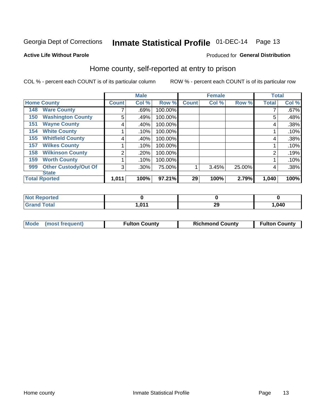## Inmate Statistical Profile 01-DEC-14 Page 13

### **Active Life Without Parole**

### Produced for General Distribution

### Home county, self-reported at entry to prison

COL % - percent each COUNT is of its particular column

|     |                             |              | <b>Male</b> |         |              | <b>Female</b> |        | <b>Total</b> |       |
|-----|-----------------------------|--------------|-------------|---------|--------------|---------------|--------|--------------|-------|
|     | <b>Home County</b>          | <b>Count</b> | Col %       | Row %   | <b>Count</b> | Col %         | Row %  | <b>Total</b> | Col % |
| 148 | <b>Ware County</b>          |              | .69%        | 100.00% |              |               |        |              | .67%  |
| 150 | <b>Washington County</b>    | 5            | .49%        | 100.00% |              |               |        | 5            | .48%  |
| 151 | <b>Wayne County</b>         | 4            | .40%        | 100.00% |              |               |        | 4            | .38%  |
| 154 | <b>White County</b>         |              | .10%        | 100.00% |              |               |        |              | .10%  |
| 155 | <b>Whitfield County</b>     | 4            | .40%        | 100.00% |              |               |        | 4            | .38%  |
| 157 | <b>Wilkes County</b>        |              | .10%        | 100.00% |              |               |        |              | .10%  |
| 158 | <b>Wilkinson County</b>     | 2            | .20%        | 100.00% |              |               |        | 2            | .19%  |
| 159 | <b>Worth County</b>         |              | .10%        | 100.00% |              |               |        |              | .10%  |
| 999 | <b>Other Custody/Out Of</b> | 3            | .30%        | 75.00%  |              | 3.45%         | 25.00% | 4            | .38%  |
|     | <b>State</b>                |              |             |         |              |               |        |              |       |
|     | <b>Total Rported</b>        | 1,011        | 100%        | 97.21%  | 29           | 100%          | 2.79%  | 1,040        | 100%  |

| <b>ceportea</b> |     |    |      |
|-----------------|-----|----|------|
|                 | 044 | 23 | ,040 |

|  | Mode (most frequent) | <b>Fulton County</b> | <b>Richmond County</b> | <b>Fulton County</b> |
|--|----------------------|----------------------|------------------------|----------------------|
|--|----------------------|----------------------|------------------------|----------------------|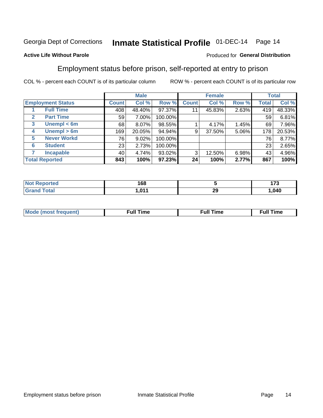## Inmate Statistical Profile 01-DEC-14 Page 14

#### **Active Life Without Parole**

### Produced for General Distribution

### Employment status before prison, self-reported at entry to prison

COL % - percent each COUNT is of its particular column

|                                  |              | <b>Male</b> |         |              | <b>Female</b> |       |              | <b>Total</b> |
|----------------------------------|--------------|-------------|---------|--------------|---------------|-------|--------------|--------------|
| <b>Employment Status</b>         | <b>Count</b> | Col %       | Row %   | <b>Count</b> | Col %         | Row % | <b>Total</b> | Col %        |
| <b>Full Time</b>                 | 408          | 48.40%      | 97.37%  | 11           | 45.83%        | 2.63% | 419          | 48.33%       |
| <b>Part Time</b><br>$\mathbf{2}$ | 59           | 7.00%       | 100.00% |              |               |       | 59           | 6.81%        |
| Unempl $<$ 6m<br>3               | 68           | 8.07%       | 98.55%  |              | 4.17%         | 1.45% | 69           | 7.96%        |
| $U$ nempl > 6m<br>4              | 169          | 20.05%      | 94.94%  | 9            | 37.50%        | 5.06% | 178          | 20.53%       |
| <b>Never Workd</b><br>5          | 76           | 9.02%       | 100.00% |              |               |       | 76           | 8.77%        |
| <b>Student</b><br>6              | 23           | 2.73%       | 100.00% |              |               |       | 23           | 2.65%        |
| <b>Incapable</b><br>7            | 40           | 4.74%       | 93.02%  | 3            | 12.50%        | 6.98% | 43           | 4.96%        |
| <b>Total Reported</b>            | 843          | 100%        | 97.23%  | 24           | 100%          | 2.77% | 867          | 100%         |

|                        | 168   |           | ---<br>. |
|------------------------|-------|-----------|----------|
| $f \wedge f \wedge f'$ | 0.014 | חה<br>$-$ | . 040. . |

| Mc | ∴ull | ----<br>ıme<br>w |
|----|------|------------------|
|    |      |                  |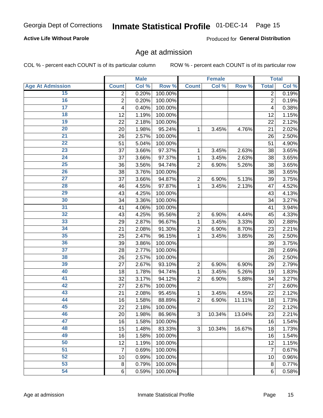### **Active Life Without Parole**

Produced for General Distribution

### Age at admission

COL % - percent each COUNT is of its particular column

|                         |                | <b>Male</b> |         |                | <b>Female</b> |        |                | <b>Total</b> |
|-------------------------|----------------|-------------|---------|----------------|---------------|--------|----------------|--------------|
| <b>Age At Admission</b> | <b>Count</b>   | Col %       | Row %   | <b>Count</b>   | Col %         | Row %  | <b>Total</b>   | Col %        |
| 15                      | 2              | 0.20%       | 100.00% |                |               |        | 2              | 0.19%        |
| 16                      | $\overline{2}$ | 0.20%       | 100.00% |                |               |        | $\overline{2}$ | 0.19%        |
| $\overline{17}$         | 4              | 0.40%       | 100.00% |                |               |        | 4              | 0.38%        |
| 18                      | 12             | 1.19%       | 100.00% |                |               |        | 12             | 1.15%        |
| 19                      | 22             | 2.18%       | 100.00% |                |               |        | 22             | 2.12%        |
| $\overline{20}$         | 20             | 1.98%       | 95.24%  | 1              | 3.45%         | 4.76%  | 21             | 2.02%        |
| 21                      | 26             | 2.57%       | 100.00% |                |               |        | 26             | 2.50%        |
| 22                      | 51             | 5.04%       | 100.00% |                |               |        | 51             | 4.90%        |
| 23                      | 37             | 3.66%       | 97.37%  | 1              | 3.45%         | 2.63%  | 38             | 3.65%        |
| 24                      | 37             | 3.66%       | 97.37%  | 1              | 3.45%         | 2.63%  | 38             | 3.65%        |
| $\overline{25}$         | 36             | 3.56%       | 94.74%  | $\overline{2}$ | 6.90%         | 5.26%  | 38             | 3.65%        |
| 26                      | 38             | 3.76%       | 100.00% |                |               |        | 38             | 3.65%        |
| $\overline{27}$         | 37             | 3.66%       | 94.87%  | $\overline{2}$ | 6.90%         | 5.13%  | 39             | 3.75%        |
| 28                      | 46             | 4.55%       | 97.87%  | 1              | 3.45%         | 2.13%  | 47             | 4.52%        |
| 29                      | 43             | 4.25%       | 100.00% |                |               |        | 43             | 4.13%        |
| 30                      | 34             | 3.36%       | 100.00% |                |               |        | 34             | 3.27%        |
| 31                      | 41             | 4.06%       | 100.00% |                |               |        | 41             | 3.94%        |
| 32                      | 43             | 4.25%       | 95.56%  | $\overline{c}$ | 6.90%         | 4.44%  | 45             | 4.33%        |
| 33                      | 29             | 2.87%       | 96.67%  | 1              | 3.45%         | 3.33%  | 30             | 2.88%        |
| 34                      | 21             | 2.08%       | 91.30%  | $\overline{2}$ | 6.90%         | 8.70%  | 23             | 2.21%        |
| 35                      | 25             | 2.47%       | 96.15%  | 1              | 3.45%         | 3.85%  | 26             | 2.50%        |
| 36                      | 39             | 3.86%       | 100.00% |                |               |        | 39             | 3.75%        |
| $\overline{37}$         | 28             | 2.77%       | 100.00% |                |               |        | 28             | 2.69%        |
| 38                      | 26             | 2.57%       | 100.00% |                |               |        | 26             | 2.50%        |
| 39                      | 27             | 2.67%       | 93.10%  | $\overline{2}$ | 6.90%         | 6.90%  | 29             | 2.79%        |
| 40                      | 18             | 1.78%       | 94.74%  | 1              | 3.45%         | 5.26%  | 19             | 1.83%        |
| 41                      | 32             | 3.17%       | 94.12%  | $\overline{2}$ | 6.90%         | 5.88%  | 34             | 3.27%        |
| 42                      | 27             | 2.67%       | 100.00% |                |               |        | 27             | 2.60%        |
| 43                      | 21             | 2.08%       | 95.45%  | 1              | 3.45%         | 4.55%  | 22             | 2.12%        |
| 44                      | 16             | 1.58%       | 88.89%  | $\overline{2}$ | 6.90%         | 11.11% | 18             | 1.73%        |
| 45                      | 22             | 2.18%       | 100.00% |                |               |        | 22             | 2.12%        |
| 46                      | 20             | 1.98%       | 86.96%  | 3              | 10.34%        | 13.04% | 23             | 2.21%        |
| 47                      | 16             | 1.58%       | 100.00% |                |               |        | 16             | 1.54%        |
| 48                      | 15             | 1.48%       | 83.33%  | 3              | 10.34%        | 16.67% | 18             | 1.73%        |
| 49                      | 16             | 1.58%       | 100.00% |                |               |        | 16             | 1.54%        |
| 50                      | 12             | 1.19%       | 100.00% |                |               |        | 12             | 1.15%        |
| $\overline{51}$         | 7              | 0.69%       | 100.00% |                |               |        | $\overline{7}$ | 0.67%        |
| 52                      | 10             | 0.99%       | 100.00% |                |               |        | 10             | 0.96%        |
| 53                      | 8              | 0.79%       | 100.00% |                |               |        | 8              | 0.77%        |
| 54                      | 6              | 0.59%       | 100.00% |                |               |        | 6              | 0.58%        |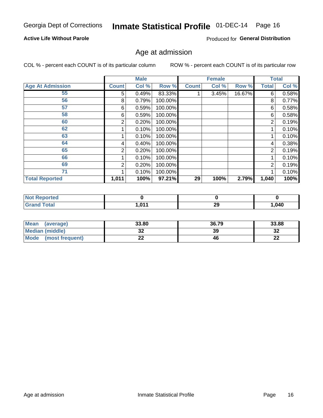## Inmate Statistical Profile 01-DEC-14 Page 16

### **Active Life Without Parole**

Produced for General Distribution

### Age at admission

COL % - percent each COUNT is of its particular column

|                         |                | <b>Male</b> |         |              | <b>Female</b> |        |                | <b>Total</b> |
|-------------------------|----------------|-------------|---------|--------------|---------------|--------|----------------|--------------|
| <b>Age At Admission</b> | <b>Count</b>   | Col %       | Row %   | <b>Count</b> | Col %         | Row %  | <b>Total</b>   | Col %        |
| 55                      | 5              | 0.49%       | 83.33%  |              | 3.45%         | 16.67% | 6              | 0.58%        |
| 56                      | 8              | 0.79%       | 100.00% |              |               |        | 8              | 0.77%        |
| 57                      | 6              | 0.59%       | 100.00% |              |               |        | 6              | 0.58%        |
| 58                      | 6              | 0.59%       | 100.00% |              |               |        | 6              | 0.58%        |
| 60                      | 2              | 0.20%       | 100.00% |              |               |        | 2              | 0.19%        |
| 62                      |                | 0.10%       | 100.00% |              |               |        |                | 0.10%        |
| 63                      |                | 0.10%       | 100.00% |              |               |        |                | 0.10%        |
| 64                      | 4              | 0.40%       | 100.00% |              |               |        | 4              | 0.38%        |
| 65                      | 2              | 0.20%       | 100.00% |              |               |        | $\overline{2}$ | 0.19%        |
| 66                      |                | 0.10%       | 100.00% |              |               |        |                | 0.10%        |
| 69                      | $\overline{2}$ | 0.20%       | 100.00% |              |               |        | $\overline{2}$ | 0.19%        |
| 71                      |                | 0.10%       | 100.00% |              |               |        |                | 0.10%        |
| <b>Total Reported</b>   | 1,011          | 100%        | 97.21%  | 29           | 100%          | 2.79%  | 1,040          | 100%         |

| <b>eported</b><br>Nt  |     |           |      |
|-----------------------|-----|-----------|------|
| <b>cotal</b><br>_____ | 044 | י ה<br>ZУ | ,040 |

| Mean<br>(average)              | 33.80 | 36.79 | 33.88    |
|--------------------------------|-------|-------|----------|
| <b>Median (middle)</b>         | JŁ    | 39    | າາ<br>ാച |
| <b>Mode</b><br>(most frequent) | --    | 46    | n,<br>LL |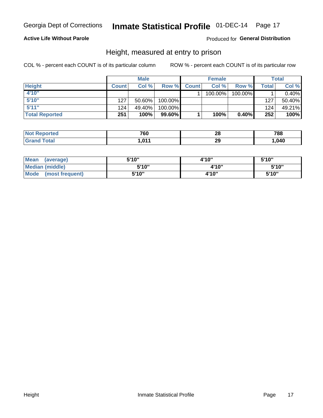### **Active Life Without Parole**

### Produced for General Distribution

### Height, measured at entry to prison

COL % - percent each COUNT is of its particular column

|                       |              | <b>Male</b> |           |              | <b>Female</b> |          |         | Total    |
|-----------------------|--------------|-------------|-----------|--------------|---------------|----------|---------|----------|
| <b>Height</b>         | <b>Count</b> | Col %       | Row %     | <b>Count</b> | Col %         | Row %    | Total i | Col %    |
| 4'10"                 |              |             |           |              | 100.00%       | 100.00%  |         | $0.40\%$ |
| 5'10''                | 127          | $50.60\%$   | 100.00%   |              |               |          | 127     | 50.40%   |
| 5'11''                | 124          | 49.40%      | 100.00%   |              |               |          | 124     | 49.21%   |
| <b>Total Reported</b> | 251          | 100%        | $99.60\%$ |              | 100%          | $0.40\%$ | 252     | 100%     |

| <b>Not Reported</b> | 760   | ົ<br>40 | 788    |
|---------------------|-------|---------|--------|
| <b>Grand Total</b>  | 1.011 | 29      | 040, ، |

| <b>Mean</b><br>(average)       | 5'10" | 4'10" |       |  |  |
|--------------------------------|-------|-------|-------|--|--|
| <b>Median (middle)</b>         | 5'10" | 4'10" | 5'10" |  |  |
| <b>Mode</b><br>(most frequent) | 5'10" | 4'10" | 5'10" |  |  |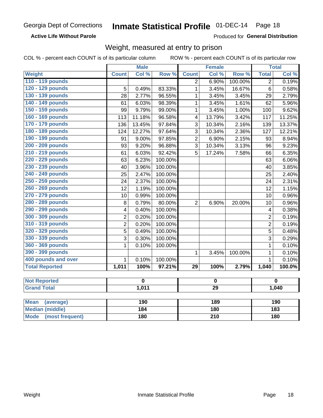### **Active Life Without Parole**

Produced for General Distribution

### Weight, measured at entry to prison

|                                |                         | <b>Male</b> |         |                         | <b>Female</b> |         |                | <b>Total</b>     |  |
|--------------------------------|-------------------------|-------------|---------|-------------------------|---------------|---------|----------------|------------------|--|
| <b>Weight</b>                  | <b>Count</b>            | Col %       | Row %   | <b>Count</b>            | Col %         | Row %   | <b>Total</b>   | Col %            |  |
| 110 - 119 pounds               |                         |             |         | $\overline{2}$          | 6.90%         | 100.00% | $\overline{2}$ | 0.19%            |  |
| 120 - 129 pounds               | 5                       | 0.49%       | 83.33%  | $\mathbf{1}$            | 3.45%         | 16.67%  | 6              | 0.58%            |  |
| 130 - 139 pounds               | 28                      | 2.77%       | 96.55%  | 1                       | 3.45%         | 3.45%   | 29             | 2.79%            |  |
| 140 - 149 pounds               | 61                      | 6.03%       | 98.39%  | $\mathbf 1$             | 3.45%         | 1.61%   | 62             | 5.96%            |  |
| 150 - 159 pounds               | 99                      | 9.79%       | 99.00%  | $\mathbf{1}$            | 3.45%         | 1.00%   | 100            | 9.62%            |  |
| 160 - 169 pounds               | 113                     | 11.18%      | 96.58%  | $\overline{\mathbf{4}}$ | 13.79%        | 3.42%   | 117            | 11.25%           |  |
| 170 - 179 pounds               | 136                     | 13.45%      | 97.84%  | 3                       | 10.34%        | 2.16%   | 139            | 13.37%           |  |
| 180 - 189 pounds               | 124                     | 12.27%      | 97.64%  | 3                       | 10.34%        | 2.36%   | 127            | 12.21%           |  |
| 190 - 199 pounds               | 91                      | 9.00%       | 97.85%  | $\overline{2}$          | 6.90%         | 2.15%   | 93             | 8.94%            |  |
| 200 - 209 pounds               | 93                      | 9.20%       | 96.88%  | 3                       | 10.34%        | 3.13%   | 96             | 9.23%            |  |
| 210 - 219 pounds               | 61                      | 6.03%       | 92.42%  | $\overline{5}$          | 17.24%        | 7.58%   | 66             | 6.35%            |  |
| 220 - 229 pounds               | 63                      | 6.23%       | 100.00% |                         |               |         | 63             | 6.06%            |  |
| 230 - 239 pounds               | 40                      | 3.96%       | 100.00% |                         |               |         | 40             | 3.85%            |  |
| 240 - 249 pounds               | 25                      | 2.47%       | 100.00% |                         |               |         | 25             | 2.40%            |  |
| 250 - 259 pounds               | 24                      | 2.37%       | 100.00% |                         |               |         | 24             | 2.31%            |  |
| 260 - 269 pounds               | 12                      | 1.19%       | 100.00% |                         |               |         | 12             | 1.15%            |  |
| 270 - 279 pounds               | 10                      | 0.99%       | 100.00% |                         |               |         | 10             | 0.96%            |  |
| 280 - 289 pounds               | $\,8\,$                 | 0.79%       | 80.00%  | $\overline{2}$          | 6.90%         | 20.00%  | 10             | 0.96%            |  |
| 290 - 299 pounds               | $\overline{\mathbf{4}}$ | 0.40%       | 100.00% |                         |               |         | 4              | 0.38%            |  |
| 300 - 309 pounds               | $\overline{2}$          | 0.20%       | 100.00% |                         |               |         | $\overline{2}$ | 0.19%            |  |
| 310 - 319 pounds               | $\overline{2}$          | 0.20%       | 100.00% |                         |               |         | $\overline{2}$ | 0.19%            |  |
| 320 - 329 pounds               | $\overline{5}$          | 0.49%       | 100.00% |                         |               |         | 5              | 0.48%            |  |
| 330 - 339 pounds               | 3                       | 0.30%       | 100.00% |                         |               |         | 3              | 0.29%            |  |
| 360 - 369 pounds               | 1                       | 0.10%       | 100.00% |                         |               |         | $\mathbf{1}$   | 0.10%            |  |
| 390 - 399 pounds               |                         |             |         | $\mathbf{1}$            | 3.45%         | 100.00% | $\mathbf{1}$   | 0.10%            |  |
| 400 pounds and over            | $\mathbf{1}$            | 0.10%       | 100.00% |                         |               |         | $\mathbf{1}$   | 0.10%            |  |
| <b>Total Reported</b>          | 1,011                   | 100%        | 97.21%  | $\overline{29}$         | 100%          | 2.79%   | 1,040          | 100.0%           |  |
|                                |                         |             |         |                         |               |         |                |                  |  |
| <b>Not Reported</b>            |                         | $\mathbf 0$ |         |                         | 0             |         |                | $\mathbf 0$      |  |
| <b>Grand Total</b>             |                         | 1,011       |         | $\overline{29}$         |               |         | 1,040          |                  |  |
|                                |                         |             |         |                         |               |         |                |                  |  |
| <b>Mean</b><br>(average)       |                         | 190         |         |                         | 189           |         | 190            |                  |  |
| <b>Median (middle)</b>         |                         | 184         |         |                         | <b>180</b>    |         |                | $\overline{183}$ |  |
| <b>Mode</b><br>(most frequent) |                         | 180         |         | $\overline{210}$        |               |         | 180            |                  |  |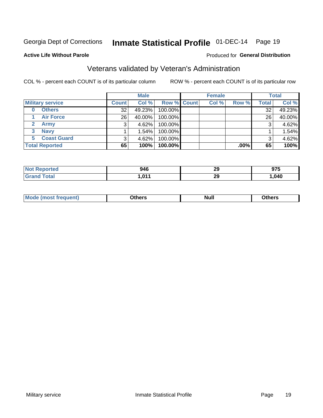## Inmate Statistical Profile 01-DEC-14 Page 19

#### **Active Life Without Parole**

### Produced for General Distribution

## Veterans validated by Veteran's Administration

COL % - percent each COUNT is of its particular column

|                         |                 | <b>Male</b> |                    | <b>Female</b> |         |              | <b>Total</b> |
|-------------------------|-----------------|-------------|--------------------|---------------|---------|--------------|--------------|
| <b>Military service</b> | <b>Count</b>    | Col %       | <b>Row % Count</b> | Col %         | Row %   | <b>Total</b> | Col %        |
| <b>Others</b><br>0      | 32 <sub>1</sub> | 49.23%      | 100.00%            |               |         | 32           | 49.23%       |
| <b>Air Force</b>        | 26 <sub>1</sub> | 40.00%      | 100.00%            |               |         | 26           | 40.00%       |
| <b>Army</b>             |                 | 4.62%       | 100.00%            |               |         | 3            | 4.62%        |
| <b>Navy</b><br>3        |                 | 1.54%       | 100.00%            |               |         |              | 1.54%        |
| <b>Coast Guard</b><br>5 | 3               | 4.62%       | 100.00%            |               |         | 3            | 4.62%        |
| <b>Total Reported</b>   | 65              | 100%        | 100.00%            |               | $.00\%$ | 65           | 100%         |

| rteo        | 946                  | ጣ               | 87F   |
|-------------|----------------------|-----------------|-------|
|             | ノーマ                  | 23              | J I J |
| $C = 4 - 7$ | 0.14<br>$\mathbf{u}$ | - -<br>nr<br>23 | ,040  |

| Mo<br><b>Null</b><br>วthers<br>______<br>____<br>____ |
|-------------------------------------------------------|
|-------------------------------------------------------|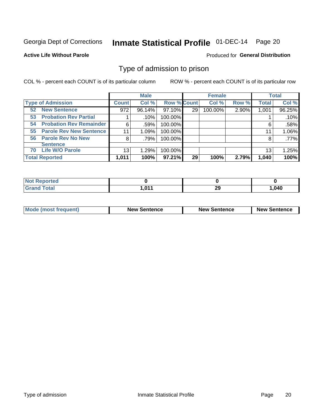## Inmate Statistical Profile 01-DEC-14 Page 20

#### **Active Life Without Parole**

### Produced for General Distribution

### Type of admission to prison

COL % - percent each COUNT is of its particular column

|                                      |              | <b>Male</b> |                    |    | <b>Female</b> |       |              | <b>Total</b> |
|--------------------------------------|--------------|-------------|--------------------|----|---------------|-------|--------------|--------------|
| <b>Type of Admission</b>             | <b>Count</b> | Col %       | <b>Row % Count</b> |    | Col %         | Row % | <b>Total</b> | Col %        |
| <b>New Sentence</b><br>52            | 972          | 96.14%      | 97.10%             | 29 | 100.00%       | 2.90% | 1,001        | 96.25%       |
| <b>Probation Rev Partial</b><br>53   |              | .10%        | 100.00%            |    |               |       |              | .10%         |
| <b>Probation Rev Remainder</b><br>54 | 6            | .59%        | 100.00%            |    |               |       | 6            | .58%         |
| <b>Parole Rev New Sentence</b><br>55 | 11           | 1.09%       | 100.00%            |    |               |       | 11           | 1.06%        |
| <b>Parole Rev No New</b><br>56       | 8            | .79%        | 100.00%            |    |               |       | 8            | $.77\%$      |
| <b>Sentence</b>                      |              |             |                    |    |               |       |              |              |
| <b>Life W/O Parole</b><br>70         | 13           | 1.29%       | 100.00%            |    |               |       | 13           | 1.25%        |
| <b>Total Reported</b>                | 1,011        | 100%        | 97.21%             | 29 | 100%          | 2.79% | 1,040        | 100%         |

| Reported<br>NO   |           |     |        |
|------------------|-----------|-----|--------|
| <b>Total</b>     | 011       | or. | 040، ، |
| $\mathbf{v}$ and | I I V I I | - - |        |

| <b>Mode (most frequent)</b> | <b>New Sentence</b> | <b>New Sentence</b> | <b>New Sentence</b> |
|-----------------------------|---------------------|---------------------|---------------------|
|                             |                     |                     |                     |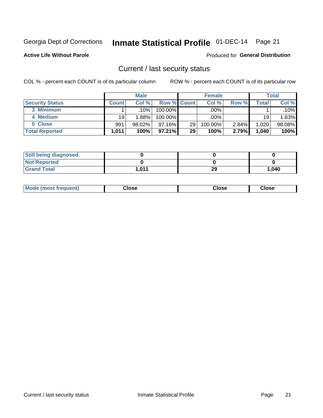## Inmate Statistical Profile 01-DEC-14 Page 21

**Active Life Without Parole** 

**Produced for General Distribution** 

### Current / last security status

COL % - percent each COUNT is of its particular column

|                        |              | <b>Male</b> |                    |    | <b>Female</b> |       |       | <b>Total</b> |
|------------------------|--------------|-------------|--------------------|----|---------------|-------|-------|--------------|
| <b>Security Status</b> | <b>Count</b> | Col %       | <b>Row % Count</b> |    | Col %         | Row % | Total | Col %        |
| 3 Minimum              |              | .10%        | 100.00%            |    | .00%          |       |       | .10%         |
| 4 Medium               | 19           | 1.88%       | 100.00%            |    | .00%          |       | 19    | 1.83%        |
| 5 Close                | 991          | 98.02%      | $97.16\%$          | 29 | 100.00%       | 2.84% | 1,020 | 98.08%       |
| <b>Total Reported</b>  | 1,011'       | 100%        | $97.21\%$          | 29 | 100%          | 2.79% | 1,040 | 100%         |

| <b>Still being diagnosed</b> |       |    |       |
|------------------------------|-------|----|-------|
| <b>Not Reported</b>          |       |    |       |
| <b>Grand Total</b>           | 1,011 | 29 | 1,040 |

| Mode (most frequent) | Close | Close | Close |
|----------------------|-------|-------|-------|
|                      |       |       |       |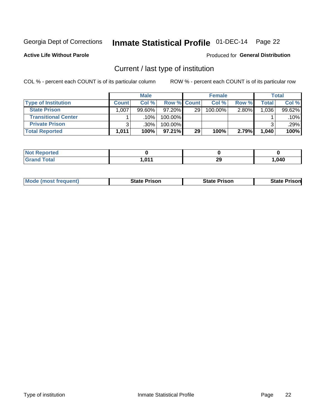## Inmate Statistical Profile 01-DEC-14 Page 22

**Active Life Without Parole** 

### Produced for General Distribution

## Current / last type of institution

COL % - percent each COUNT is of its particular column

|                            |                | <b>Male</b> |             |    | <b>Female</b> |       |       | <b>Total</b> |
|----------------------------|----------------|-------------|-------------|----|---------------|-------|-------|--------------|
| <b>Type of Institution</b> | <b>Count</b> l | Col %       | Row % Count |    | Col %         | Row % | Total | Col %        |
| <b>State Prison</b>        | 1,007          | $99.60\%$   | $97.20\%$   | 29 | 100.00%       | 2.80% | 1,036 | 99.62%       |
| <b>Transitional Center</b> |                | ا 10%.      | 100.00%     |    |               |       |       | $.10\%$      |
| <b>Private Prison</b>      |                | ا 30%.      | 100.00%     |    |               |       |       | .29%         |
| <b>Total Reported</b>      | 1,011          | 100%        | $97.21\%$   | 29 | 100%          | 2.79% | 1,040 | 100%         |

| Reported<br>$\sim$ |      |           |      |
|--------------------|------|-----------|------|
| <b>Total</b>       | .047 | nr.<br>23 | ,040 |

| <b>Mode (most frequent)</b> | <b>State Prison</b> | <b>State Prison</b> | <b>State Prisonl</b> |
|-----------------------------|---------------------|---------------------|----------------------|
|                             |                     |                     |                      |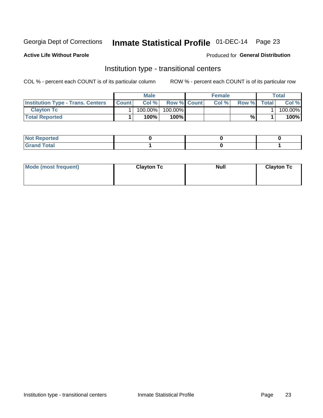## Inmate Statistical Profile 01-DEC-14 Page 23

**Active Life Without Parole** 

### Produced for General Distribution

### Institution type - transitional centers

COL % - percent each COUNT is of its particular column

|                                          |              | Male    |                    | <b>Female</b> |       |              | Total   |
|------------------------------------------|--------------|---------|--------------------|---------------|-------|--------------|---------|
| <b>Institution Type - Trans. Centers</b> | <b>Count</b> | Col%    | <b>Row % Count</b> | Col%          | Row % | <b>Total</b> | Col %   |
| <b>Clayton Tc</b>                        |              | 100.00% | 100.00%            |               |       |              | 100.00% |
| <b>Total Reported</b>                    |              | $100\%$ | 100%               |               | %     |              | 100%    |

| <b>Not Reported</b>  |  |  |
|----------------------|--|--|
| <b>Total</b><br>r va |  |  |

| Mode (most frequent) | <b>Clayton Tc</b> | <b>Null</b> | <b>Clayton Tc</b> |
|----------------------|-------------------|-------------|-------------------|
|                      |                   |             |                   |
|                      |                   |             |                   |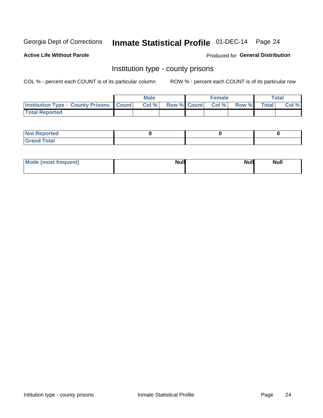## Inmate Statistical Profile 01-DEC-14 Page 24

**Active Life Without Parole** 

Produced for General Distribution

### Institution type - county prisons

COL % - percent each COUNT is of its particular column

|                                                    | <b>Male</b> |       |                          | <b>Female</b> |  |             | <b>Total</b> |       |  |
|----------------------------------------------------|-------------|-------|--------------------------|---------------|--|-------------|--------------|-------|--|
| <b>Institution Type - County Prisons   Count  </b> |             | Col % | <b>Row % Count Col %</b> |               |  | Row % Total |              | Col % |  |
| <b>Total Reported</b>                              |             |       |                          |               |  |             |              |       |  |

| <b>Not Reported</b>   |  |  |
|-----------------------|--|--|
| <b>Total</b><br>Granc |  |  |

| Mode (most frequent) | <b>Null</b> | <b>Null</b><br><b>Null</b> |
|----------------------|-------------|----------------------------|
|                      |             |                            |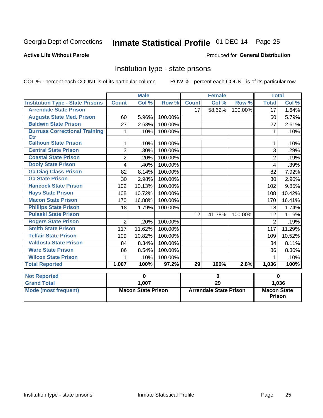## Inmate Statistical Profile 01-DEC-14 Page 25

### **Active Life Without Parole**

#### Produced for General Distribution

### Institution type - state prisons

COL % - percent each COUNT is of its particular column

|                                             | <b>Male</b>               |        |                               | <b>Female</b> |        |                                     | <b>Total</b>   |        |
|---------------------------------------------|---------------------------|--------|-------------------------------|---------------|--------|-------------------------------------|----------------|--------|
| <b>Institution Type - State Prisons</b>     | <b>Count</b>              | Col %  | Row %                         | <b>Count</b>  | Col %  | Row %                               | <b>Total</b>   | Col %  |
| <b>Arrendale State Prison</b>               |                           |        |                               | 17            | 58.62% | 100.00%                             | 17             | 1.64%  |
| <b>Augusta State Med. Prison</b>            | 60                        | 5.96%  | 100.00%                       |               |        |                                     | 60             | 5.79%  |
| <b>Baldwin State Prison</b>                 | 27                        | 2.68%  | 100.00%                       |               |        |                                     | 27             | 2.61%  |
| <b>Burruss Correctional Training</b><br>Ctr | 1                         | .10%   | 100.00%                       |               |        |                                     | 1              | .10%   |
| <b>Calhoun State Prison</b>                 | 1                         | .10%   | 100.00%                       |               |        |                                     | 1              | .10%   |
| <b>Central State Prison</b>                 | 3                         | .30%   | 100.00%                       |               |        |                                     | 3              | .29%   |
| <b>Coastal State Prison</b>                 | $\overline{2}$            | .20%   | 100.00%                       |               |        |                                     | $\overline{2}$ | .19%   |
| <b>Dooly State Prison</b>                   | 4                         | .40%   | 100.00%                       |               |        |                                     | 4              | .39%   |
| <b>Ga Diag Class Prison</b>                 | 82                        | 8.14%  | 100.00%                       |               |        |                                     | 82             | 7.92%  |
| <b>Ga State Prison</b>                      | 30                        | 2.98%  | 100.00%                       |               |        |                                     | 30             | 2.90%  |
| <b>Hancock State Prison</b>                 | 102                       | 10.13% | 100.00%                       |               |        |                                     | 102            | 9.85%  |
| <b>Hays State Prison</b>                    | 108                       | 10.72% | 100.00%                       |               |        |                                     | 108            | 10.42% |
| <b>Macon State Prison</b>                   | 170                       | 16.88% | 100.00%                       |               |        |                                     | 170            | 16.41% |
| <b>Phillips State Prison</b>                | 18                        | 1.79%  | 100.00%                       |               |        |                                     | 18             | 1.74%  |
| <b>Pulaski State Prison</b>                 |                           |        |                               | 12            | 41.38% | 100.00%                             | 12             | 1.16%  |
| <b>Rogers State Prison</b>                  | $\overline{2}$            | .20%   | 100.00%                       |               |        |                                     | $\overline{2}$ | .19%   |
| <b>Smith State Prison</b>                   | 117                       | 11.62% | 100.00%                       |               |        |                                     | 117            | 11.29% |
| <b>Telfair State Prison</b>                 | 109                       | 10.82% | 100.00%                       |               |        |                                     | 109            | 10.52% |
| <b>Valdosta State Prison</b>                | 84                        | 8.34%  | 100.00%                       |               |        |                                     | 84             | 8.11%  |
| <b>Ware State Prison</b>                    | 86                        | 8.54%  | 100.00%                       |               |        |                                     | 86             | 8.30%  |
| <b>Wilcox State Prison</b>                  | 1                         | .10%   | 100.00%                       |               |        |                                     |                | .10%   |
| <b>Total Reported</b>                       | 1,007                     | 100%   | 97.2%                         | 29            | 100%   | 2.8%                                | 1,036          | 100%   |
| <b>Not Reported</b>                         |                           | 0      |                               | $\bf{0}$      |        |                                     |                | 0      |
| <b>Grand Total</b>                          |                           | 1,007  |                               | 29            |        |                                     |                | 1,036  |
| <b>Mode (most frequent)</b>                 | <b>Macon State Prison</b> |        | <b>Arrendale State Prison</b> |               |        | <b>Macon State</b><br><b>Prison</b> |                |        |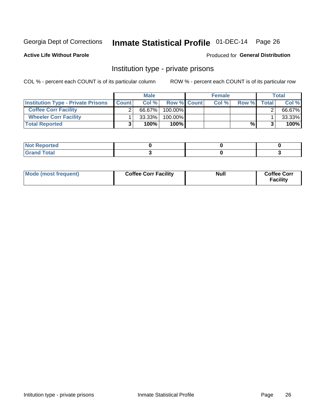## Inmate Statistical Profile 01-DEC-14 Page 26

**Active Life Without Parole** 

### Produced for General Distribution

### Institution type - private prisons

COL % - percent each COUNT is of its particular column

|                                           | <b>Male</b>  |           |                    | <b>Female</b> |      |       | <b>Total</b> |        |
|-------------------------------------------|--------------|-----------|--------------------|---------------|------|-------|--------------|--------|
| <b>Institution Type - Private Prisons</b> | <b>Count</b> | Col $%$   | <b>Row % Count</b> |               | Col% | Row % | Total        | Col %  |
| <b>Coffee Corr Facility</b>               |              | 66.67%    | $100.00\%$         |               |      |       |              | 66.67% |
| <b>Wheeler Corr Facility</b>              |              | $33.33\%$ | $100.00\%$         |               |      |       |              | 33.33% |
| <b>Total Reported</b>                     |              | 100%      | 100%               |               |      | %।    |              | 100%   |

| orted<br>110110 |  |  |
|-----------------|--|--|
| <b>Total</b>    |  |  |

| Mode (most frequent) | <b>Coffee Corr Facility</b> | <b>Null</b> | <b>Coffee Corr</b><br><b>Facility</b> |
|----------------------|-----------------------------|-------------|---------------------------------------|
|----------------------|-----------------------------|-------------|---------------------------------------|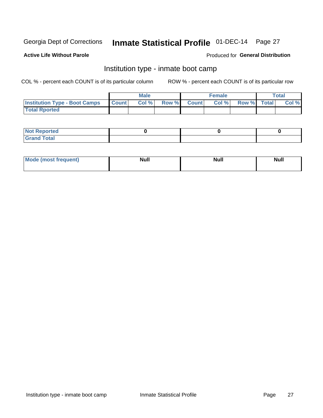## Inmate Statistical Profile 01-DEC-14 Page 27

### **Active Life Without Parole**

### Produced for General Distribution

### Institution type - inmate boot camp

COL % - percent each COUNT is of its particular column

|                                      | <b>Male</b>  |       |               | <b>Female</b> |       |             | <b>Total</b> |       |  |
|--------------------------------------|--------------|-------|---------------|---------------|-------|-------------|--------------|-------|--|
| <b>Institution Type - Boot Camps</b> | <b>Count</b> | Col % | <b>Row %I</b> | <b>Count</b>  | Col % | Row % Total |              | Col % |  |
| <b>Total Rported</b>                 |              |       |               |               |       |             |              |       |  |

| <b>Not Reported</b>            |  |  |
|--------------------------------|--|--|
| <b>Total</b><br>C <sub>r</sub> |  |  |

| Mod<br>uamo | Nul.<br>$- - - - - -$ | <b>Null</b> | . .<br>uu.<br>------ |
|-------------|-----------------------|-------------|----------------------|
|             |                       |             |                      |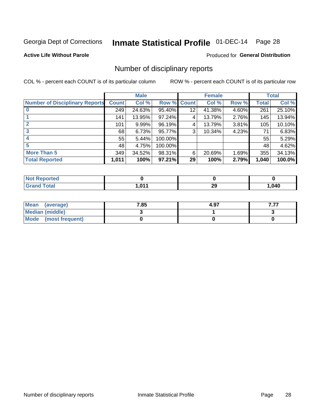## Inmate Statistical Profile 01-DEC-14 Page 28

**Active Life Without Parole** 

**Produced for General Distribution** 

### Number of disciplinary reports

COL % - percent each COUNT is of its particular column

|                                       | <b>Male</b>  |        |             | <b>Female</b> |        |          | <b>Total</b> |        |
|---------------------------------------|--------------|--------|-------------|---------------|--------|----------|--------------|--------|
| <b>Number of Disciplinary Reports</b> | <b>Count</b> | Col %  | Row % Count |               | Col %  | Row %    | Total        | Col %  |
|                                       | 249          | 24.63% | $95.40\%$   | 12            | 41.38% | $4.60\%$ | 261          | 25.10% |
|                                       | 141          | 13.95% | 97.24%      | 4             | 13.79% | 2.76%    | 145          | 13.94% |
|                                       | 101          | 9.99%  | 96.19%      | 4             | 13.79% | 3.81%    | 105          | 10.10% |
| 3                                     | 68           | 6.73%  | 95.77%      | 3             | 10.34% | 4.23%    | 71           | 6.83%  |
|                                       | 55           | 5.44%  | 100.00%     |               |        |          | 55'          | 5.29%  |
| 5                                     | 48           | 4.75%  | 100.00%     |               |        |          | 48           | 4.62%  |
| <b>More Than 5</b>                    | 349          | 34.52% | 98.31%      | 6             | 20.69% | 1.69%    | 355          | 34.13% |
| <b>Total Reported</b>                 | 1,011        | 100%   | 97.21%      | 29            | 100%   | 2.79%    | 1,040        | 100.0% |

| <b>Not Reported</b> |     |          |      |
|---------------------|-----|----------|------|
| ™otal               | 011 | 20<br>25 | .040 |

| Mean (average)       | 7.85 | 4.97 |  |
|----------------------|------|------|--|
| Median (middle)      |      |      |  |
| Mode (most frequent) |      |      |  |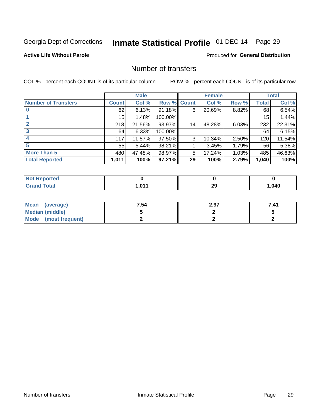## Inmate Statistical Profile 01-DEC-14 Page 29

**Active Life Without Parole** 

Produced for General Distribution

### Number of transfers

COL % - percent each COUNT is of its particular column

|                            | <b>Male</b>  |        | <b>Female</b> |    |        | <b>Total</b> |              |        |
|----------------------------|--------------|--------|---------------|----|--------|--------------|--------------|--------|
| <b>Number of Transfers</b> | <b>Count</b> | Col %  | Row % Count   |    | Col %  | Row %        | <b>Total</b> | Col %  |
|                            | 62           | 6.13%  | 91.18%        | 6  | 20.69% | 8.82%        | 68           | 6.54%  |
|                            | 15           | 1.48%  | 100.00%       |    |        |              | 15           | 1.44%  |
| $\mathbf{2}$               | 218          | 21.56% | 93.97%        | 14 | 48.28% | 6.03%        | 232          | 22.31% |
| 3                          | 64           | 6.33%  | 100.00%       |    |        |              | 64           | 6.15%  |
|                            | 117          | 11.57% | 97.50%        | 3  | 10.34% | 2.50%        | 120          | 11.54% |
| 5                          | 55           | 5.44%  | 98.21%        |    | 3.45%  | 1.79%        | 56           | 5.38%  |
| <b>More Than 5</b>         | 480          | 47.48% | 98.97%        | 5  | 17.24% | 1.03%        | 485          | 46.63% |
| <b>Total Reported</b>      | 1,011        | 100%   | 97.21%        | 29 | 100%   | 2.79%        | 1,040        | 100%   |

| тео<br>NO |       |          |      |
|-----------|-------|----------|------|
| Total     | . 647 | 20<br>23 | ,040 |

| Mean (average)       | 7.54 | 2.97 | 7.41 |
|----------------------|------|------|------|
| Median (middle)      |      |      |      |
| Mode (most frequent) |      |      |      |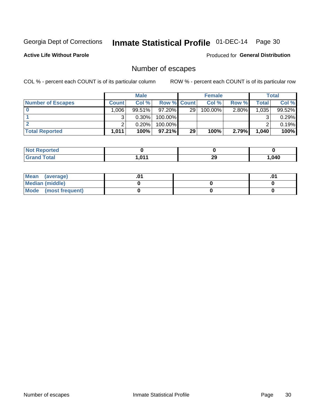## Inmate Statistical Profile 01-DEC-14 Page 30

**Active Life Without Parole** 

**Produced for General Distribution** 

## Number of escapes

COL % - percent each COUNT is of its particular column

|                          | <b>Male</b>  |          |                    | <b>Female</b>   |         |          | Total |        |
|--------------------------|--------------|----------|--------------------|-----------------|---------|----------|-------|--------|
| <b>Number of Escapes</b> | <b>Count</b> | Col %    | <b>Row % Count</b> |                 | Col %   | Row %    | Total | Col %  |
|                          | ا 006.1      | 99.51%   | $97.20\%$          | 29 <sub>1</sub> | 100.00% | $2.80\%$ | 1,035 | 99.52% |
|                          | ົ            | $0.30\%$ | $100.00\%$         |                 |         |          |       | 0.29%  |
|                          |              | 0.20%    | $100.00\%$         |                 |         |          |       | 0.19%  |
| <b>Total Reported</b>    | 1.011        | 100%     | $97.21\%$          | 29              | 100%    | 2.79%    | 1,040 | 100%   |

| <b>Not Reported</b> |       |         |       |
|---------------------|-------|---------|-------|
| Total<br>Gra        | 1.011 | റ<br>29 | 1,040 |

| Mean (average)       |  | .01 |
|----------------------|--|-----|
| Median (middle)      |  |     |
| Mode (most frequent) |  |     |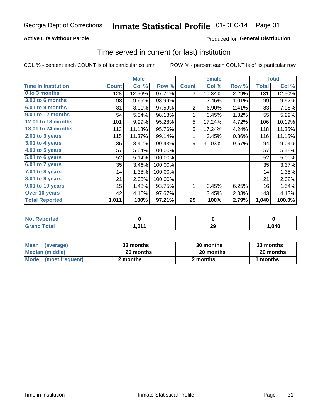### **Active Life Without Parole**

### **Produced for General Distribution**

### Time served in current (or last) institution

COL % - percent each COUNT is of its particular column

|                            |              | <b>Male</b> |         | <b>Female</b>  |        |       | <b>Total</b> |        |
|----------------------------|--------------|-------------|---------|----------------|--------|-------|--------------|--------|
| <b>Time In Institution</b> | <b>Count</b> | Col %       | Row %   | <b>Count</b>   | Col %  | Row % | <b>Total</b> | Col %  |
| 0 to 3 months              | 128          | 12.66%      | 97.71%  | 3              | 10.34% | 2.29% | 131          | 12.60% |
| 3.01 to 6 months           | 98           | 9.69%       | 98.99%  | 1              | 3.45%  | 1.01% | 99           | 9.52%  |
| 6.01 to 9 months           | 81           | 8.01%       | 97.59%  | $\overline{2}$ | 6.90%  | 2.41% | 83           | 7.98%  |
| 9.01 to 12 months          | 54           | 5.34%       | 98.18%  | 1              | 3.45%  | 1.82% | 55           | 5.29%  |
| 12.01 to 18 months         | 101          | 9.99%       | 95.28%  | 5              | 17.24% | 4.72% | 106          | 10.19% |
| <b>18.01 to 24 months</b>  | 113          | 11.18%      | 95.76%  | 5              | 17.24% | 4.24% | 118          | 11.35% |
| $2.01$ to 3 years          | 115          | 11.37%      | 99.14%  |                | 3.45%  | 0.86% | 116          | 11.15% |
| $3.01$ to 4 years          | 85           | 8.41%       | 90.43%  | 9              | 31.03% | 9.57% | 94           | 9.04%  |
| $4.01$ to 5 years          | 57           | 5.64%       | 100.00% |                |        |       | 57           | 5.48%  |
| 5.01 to 6 years            | 52           | 5.14%       | 100.00% |                |        |       | 52           | 5.00%  |
| 6.01 to 7 years            | 35           | 3.46%       | 100.00% |                |        |       | 35           | 3.37%  |
| 7.01 to 8 years            | 14           | 1.38%       | 100.00% |                |        |       | 14           | 1.35%  |
| 8.01 to 9 years            | 21           | 2.08%       | 100.00% |                |        |       | 21           | 2.02%  |
| 9.01 to 10 years           | 15           | 1.48%       | 93.75%  | 1              | 3.45%  | 6.25% | 16           | 1.54%  |
| Over 10 years              | 42           | 4.15%       | 97.67%  | 1              | 3.45%  | 2.33% | 43           | 4.13%  |
| <b>Total Reported</b>      | 1,011        | 100%        | 97.21%  | 29             | 100%   | 2.79% | 1,040        | 100.0% |

| <b>Not Reported</b> |      |          |      |
|---------------------|------|----------|------|
| Total               | 0.44 | ^^<br>49 | ,040 |

| <b>Mean</b><br>(average) | 33 months | 30 months | 33 months |
|--------------------------|-----------|-----------|-----------|
| Median (middle)          | 20 months | 20 months | 20 months |
| Mode (most frequent)     | 2 months  | 2 months  | 1 months  |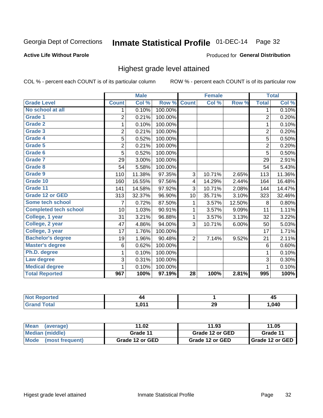## Inmate Statistical Profile 01-DEC-14 Page 32

#### **Active Life Without Parole**

#### Produced for General Distribution

### Highest grade level attained

COL % - percent each COUNT is of its particular column

|                              |                | <b>Male</b> |         |                 | <b>Female</b> |        |                | <b>Total</b> |
|------------------------------|----------------|-------------|---------|-----------------|---------------|--------|----------------|--------------|
| <b>Grade Level</b>           | <b>Count</b>   | Col %       | Row %   | <b>Count</b>    | Col %         | Row %  | <b>Total</b>   | Col %        |
| No school at all             | 1              | 0.10%       | 100.00% |                 |               |        | 1              | 0.10%        |
| Grade 1                      | $\overline{2}$ | 0.21%       | 100.00% |                 |               |        | $\overline{2}$ | 0.20%        |
| <b>Grade 2</b>               | 1              | 0.10%       | 100.00% |                 |               |        | 1              | 0.10%        |
| Grade 3                      | $\overline{2}$ | 0.21%       | 100.00% |                 |               |        | $\overline{c}$ | 0.20%        |
| Grade 4                      | 5              | 0.52%       | 100.00% |                 |               |        | 5              | 0.50%        |
| Grade 5                      | 2              | 0.21%       | 100.00% |                 |               |        | $\overline{2}$ | 0.20%        |
| Grade 6                      | 5              | 0.52%       | 100.00% |                 |               |        | $\overline{5}$ | 0.50%        |
| <b>Grade 7</b>               | 29             | 3.00%       | 100.00% |                 |               |        | 29             | 2.91%        |
| Grade 8                      | 54             | 5.58%       | 100.00% |                 |               |        | 54             | 5.43%        |
| Grade 9                      | 110            | 11.38%      | 97.35%  | 3               | 10.71%        | 2.65%  | 113            | 11.36%       |
| Grade 10                     | 160            | 16.55%      | 97.56%  | 4               | 14.29%        | 2.44%  | 164            | 16.48%       |
| Grade 11                     | 141            | 14.58%      | 97.92%  | 3               | 10.71%        | 2.08%  | 144            | 14.47%       |
| <b>Grade 12 or GED</b>       | 313            | 32.37%      | 96.90%  | 10 <sup>1</sup> | 35.71%        | 3.10%  | 323            | 32.46%       |
| Some tech school             | 7              | 0.72%       | 87.50%  | 1               | 3.57%         | 12.50% | 8              | 0.80%        |
| <b>Completed tech school</b> | 10             | 1.03%       | 90.91%  | 1               | 3.57%         | 9.09%  | 11             | 1.11%        |
| College, 1 year              | 31             | 3.21%       | 96.88%  | 1               | 3.57%         | 3.13%  | 32             | 3.22%        |
| College, 2 year              | 47             | 4.86%       | 94.00%  | 3               | 10.71%        | 6.00%  | 50             | 5.03%        |
| College, 3 year              | 17             | 1.76%       | 100.00% |                 |               |        | 17             | 1.71%        |
| <b>Bachelor's degree</b>     | 19             | 1.96%       | 90.48%  | $\overline{2}$  | 7.14%         | 9.52%  | 21             | 2.11%        |
| <b>Master's degree</b>       | 6              | 0.62%       | 100.00% |                 |               |        | 6              | 0.60%        |
| Ph.D. degree                 | 1              | 0.10%       | 100.00% |                 |               |        | 1              | 0.10%        |
| Law degree                   | 3              | 0.31%       | 100.00% |                 |               |        | 3              | 0.30%        |
| <b>Medical degree</b>        |                | 0.10%       | 100.00% |                 |               |        | 1              | 0.10%        |
| <b>Total Reported</b>        | 967            | 100%        | 97.19%  | $\overline{28}$ | 100%          | 2.81%  | 995            | 100%         |

| Reported            | 44    |           | $\overline{\phantom{a}}$ |
|---------------------|-------|-----------|--------------------------|
| ' NOt               |       |           | −∙                       |
| <b>otal</b><br>Grar | . ሰ11 | nr.<br>23 | .040                     |

| <b>Mean</b><br>(average)       | 11.02           | 11.93           | 11.05             |
|--------------------------------|-----------------|-----------------|-------------------|
| Median (middle)                | Grade 11        | Grade 12 or GED | Grade 11          |
| <b>Mode</b><br>(most frequent) | Grade 12 or GED | Grade 12 or GED | I Grade 12 or GED |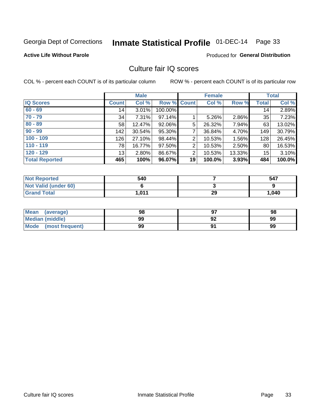## Inmate Statistical Profile 01-DEC-14 Page 33

#### **Active Life Without Parole**

### **Produced for General Distribution**

### Culture fair IQ scores

COL % - percent each COUNT is of its particular column

|                       |              | <b>Male</b> |                    |                | <b>Female</b> |          |              | <b>Total</b> |
|-----------------------|--------------|-------------|--------------------|----------------|---------------|----------|--------------|--------------|
| <b>IQ Scores</b>      | <b>Count</b> | Col %       | <b>Row % Count</b> |                | Col %         | Row %    | <b>Total</b> | Col %        |
| $60 - 69$             | 14           | 3.01%       | 100.00%            |                |               |          | 14           | 2.89%        |
| $70 - 79$             | 34           | 7.31%       | 97.14%             |                | 5.26%         | 2.86%    | 35           | 7.23%        |
| $80 - 89$             | 58           | 12.47%      | 92.06%             | 5              | 26.32%        | 7.94%    | 63           | 13.02%       |
| $90 - 99$             | 142          | 30.54%      | 95.30%             | 7              | 36.84%        | 4.70%    | 149          | 30.79%       |
| $100 - 109$           | 126          | 27.10%      | 98.44%             | $\overline{2}$ | 10.53%        | 1.56%    | 128          | 26.45%       |
| $110 - 119$           | 78           | 16.77%      | 97.50%             | 2              | 10.53%        | $2.50\%$ | 80           | 16.53%       |
| $120 - 129$           | 13           | 2.80%       | 86.67%             | 2              | 10.53%        | 13.33%   | 15           | 3.10%        |
| <b>Total Reported</b> | 465          | 100%        | 96.07%             | 19             | 100.0%        | 3.93%    | 484          | 100.0%       |

| <b>Not Reported</b>         | 540   |    | 547   |
|-----------------------------|-------|----|-------|
| <b>Not Valid (under 60)</b> |       |    |       |
| <b>Grand Total</b>          | 1.011 | 29 | 1,040 |

| <b>Mean</b><br>(average) | 98 |    | 98 |
|--------------------------|----|----|----|
| <b>Median (middle)</b>   | 99 | 92 | 99 |
| Mode<br>(most frequent)  | 99 |    | 99 |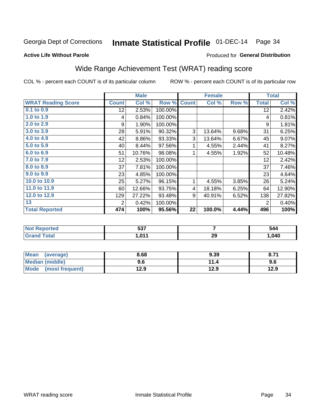## Inmate Statistical Profile 01-DEC-14 Page 34

#### **Active Life Without Parole**

### Produced for General Distribution

## Wide Range Achievement Test (WRAT) reading score

COL % - percent each COUNT is of its particular column

|                           |                 | <b>Male</b> |         |              | <b>Female</b> |       |                 | <b>Total</b> |
|---------------------------|-----------------|-------------|---------|--------------|---------------|-------|-----------------|--------------|
| <b>WRAT Reading Score</b> | <b>Count</b>    | Col %       | Row %   | <b>Count</b> | Col %         | Row % | <b>Total</b>    | Col %        |
| $0.1$ to $0.9$            | 12 <sub>2</sub> | 2.53%       | 100.00% |              |               |       | 12              | 2.42%        |
| 1.0 to 1.9                | 4               | 0.84%       | 100.00% |              |               |       | 4               | 0.81%        |
| 2.0 to 2.9                | 9               | 1.90%       | 100.00% |              |               |       | 9               | 1.81%        |
| 3.0 to 3.9                | 28              | 5.91%       | 90.32%  | 3            | 13.64%        | 9.68% | 31              | 6.25%        |
| 4.0 to 4.9                | 42              | 8.86%       | 93.33%  | 3            | 13.64%        | 6.67% | 45              | 9.07%        |
| 5.0 to 5.9                | 40              | 8.44%       | 97.56%  | 1            | 4.55%         | 2.44% | 41              | 8.27%        |
| 6.0 to 6.9                | 51              | 10.76%      | 98.08%  | 1            | 4.55%         | 1.92% | 52              | 10.48%       |
| 7.0 to 7.9                | 12              | 2.53%       | 100.00% |              |               |       | 12 <sub>2</sub> | 2.42%        |
| 8.0 to 8.9                | 37              | 7.81%       | 100.00% |              |               |       | 37              | 7.46%        |
| 9.0 to 9.9                | 23              | 4.85%       | 100.00% |              |               |       | 23              | 4.64%        |
| 10.0 to 10.9              | 25              | 5.27%       | 96.15%  | 1            | 4.55%         | 3.85% | 26              | 5.24%        |
| 11.0 to 11.9              | 60 <sup>°</sup> | 12.66%      | 93.75%  | 4            | 18.18%        | 6.25% | 64              | 12.90%       |
| 12.0 to 12.9              | 129             | 27.22%      | 93.48%  | 9            | 40.91%        | 6.52% | 138             | 27.82%       |
| 13                        | 2               | 0.42%       | 100.00% |              |               |       | 2               | 0.40%        |
| <b>Total Reported</b>     | 474             | 100%        | 95.56%  | 22           | 100.0%        | 4.44% | 496             | 100%         |

| Reported<br><b>NO</b> t | ドゥフ<br>ວວ, |           | 544  |
|-------------------------|------------|-----------|------|
| ota.                    | በ11        | ົດດ<br>∠ง | ,040 |

| Mean (average)         | 8.68 | 9.39 | 8.71 |
|------------------------|------|------|------|
| <b>Median (middle)</b> | 9.6  | 11.4 | 9.6  |
| Mode (most frequent)   | 12.9 | 12.9 | 12.9 |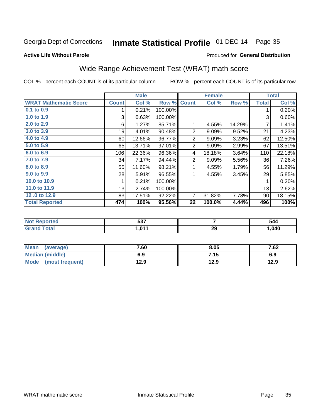## Inmate Statistical Profile 01-DEC-14 Page 35

### **Active Life Without Parole**

### **Produced for General Distribution**

## Wide Range Achievement Test (WRAT) math score

COL % - percent each COUNT is of its particular column

|                              |              | <b>Male</b>               |         |              | <b>Female</b> |        |              | <b>Total</b> |
|------------------------------|--------------|---------------------------|---------|--------------|---------------|--------|--------------|--------------|
| <b>WRAT Mathematic Score</b> | <b>Count</b> | $\overline{\text{Col}}$ % | Row %   | <b>Count</b> | Col %         | Row %  | <b>Total</b> | Col %        |
| 0.1 to 0.9                   |              | 0.21%                     | 100.00% |              |               |        |              | 0.20%        |
| 1.0 to 1.9                   | 3            | 0.63%                     | 100.00% |              |               |        | 3            | 0.60%        |
| 2.0 to 2.9                   | 6            | 1.27%                     | 85.71%  |              | 4.55%         | 14.29% | 7            | 1.41%        |
| 3.0 to 3.9                   | 19           | 4.01%                     | 90.48%  | 2            | 9.09%         | 9.52%  | 21           | 4.23%        |
| 4.0 to 4.9                   | 60           | 12.66%                    | 96.77%  | 2            | 9.09%         | 3.23%  | 62           | 12.50%       |
| 5.0 to 5.9                   | 65           | 13.71%                    | 97.01%  | 2            | 9.09%         | 2.99%  | 67           | 13.51%       |
| 6.0 to 6.9                   | 106          | 22.36%                    | 96.36%  | 4            | 18.18%        | 3.64%  | 110          | 22.18%       |
| 7.0 to 7.9                   | 34           | 7.17%                     | 94.44%  | 2            | 9.09%         | 5.56%  | 36           | 7.26%        |
| 8.0 to 8.9                   | 55           | 11.60%                    | 98.21%  |              | 4.55%         | 1.79%  | 56           | 11.29%       |
| 9.0 to 9.9                   | 28           | 5.91%                     | 96.55%  | 1            | 4.55%         | 3.45%  | 29           | 5.85%        |
| 10.0 to 10.9                 |              | 0.21%                     | 100.00% |              |               |        | 1            | 0.20%        |
| 11.0 to $11.9$               | 13           | 2.74%                     | 100.00% |              |               |        | 13           | 2.62%        |
| 12.0 to 12.9                 | 83           | 17.51%                    | 92.22%  | 7            | 31.82%        | 7.78%  | 90           | 18.15%       |
| <b>Total Reported</b>        | 474          | 100%                      | 95.56%  | 22           | 100.0%        | 4.44%  | 496          | 100%         |

| ヒヘフ<br>JJI |    | 544  |
|------------|----|------|
| በ11<br>- 7 | 29 | ,040 |

| <b>Mean</b><br>(average) | 7.60 | 8.05 | 7.62 |
|--------------------------|------|------|------|
| Median (middle)          | 6.9  | 7.15 | 6.9  |
| Mode<br>(most frequent)  | 12.9 | 12.9 | 12.9 |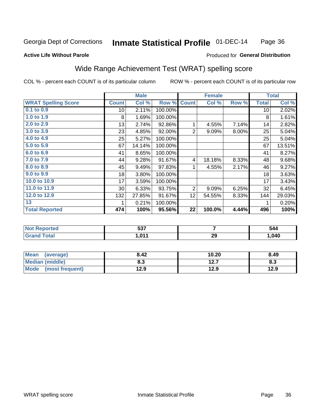#### Inmate Statistical Profile 01-DEC-14 Page 36

### **Active Life Without Parole**

### Produced for General Distribution

### Wide Range Achievement Test (WRAT) spelling score

COL % - percent each COUNT is of its particular column

|                            |                 | <b>Male</b> |         |                | <b>Female</b> |          |              | <b>Total</b> |
|----------------------------|-----------------|-------------|---------|----------------|---------------|----------|--------------|--------------|
| <b>WRAT Spelling Score</b> | <b>Count</b>    | Col %       | Row %   | <b>Count</b>   | Col %         | Row %    | <b>Total</b> | Col %        |
| 0.1 to 0.9                 | 10 <sup>1</sup> | 2.11%       | 100.00% |                |               |          | 10           | 2.02%        |
| 1.0 to 1.9                 | 8               | 1.69%       | 100.00% |                |               |          | 8            | 1.61%        |
| 2.0 to 2.9                 | 13              | 2.74%       | 92.86%  | 1              | 4.55%         | 7.14%    | 14           | 2.82%        |
| 3.0 to 3.9                 | 23              | 4.85%       | 92.00%  | $\overline{2}$ | 9.09%         | $8.00\%$ | 25           | 5.04%        |
| 4.0 to 4.9                 | 25              | 5.27%       | 100.00% |                |               |          | 25           | 5.04%        |
| $5.0$ to $5.9$             | 67              | 14.14%      | 100.00% |                |               |          | 67           | 13.51%       |
| 6.0 to 6.9                 | 41              | 8.65%       | 100.00% |                |               |          | 41           | 8.27%        |
| 7.0 to 7.9                 | 44              | 9.28%       | 91.67%  | 4              | 18.18%        | 8.33%    | 48           | 9.68%        |
| 8.0 to 8.9                 | 45              | 9.49%       | 97.83%  | 1              | 4.55%         | 2.17%    | 46           | 9.27%        |
| 9.0 to 9.9                 | 18              | 3.80%       | 100.00% |                |               |          | 18           | 3.63%        |
| 10.0 to 10.9               | 17              | 3.59%       | 100.00% |                |               |          | 17           | 3.43%        |
| 11.0 to 11.9               | $30$            | 6.33%       | 93.75%  | $\overline{2}$ | 9.09%         | 6.25%    | 32           | 6.45%        |
| 12.0 to 12.9               | 132             | 27.85%      | 91.67%  | 12             | 54.55%        | 8.33%    | 144          | 29.03%       |
| 13                         | 1               | 0.21%       | 100.00% |                |               |          | 1            | 0.20%        |
| <b>Total Reported</b>      | 474             | 100%        | 95.56%  | 22             | 100.0%        | 4.44%    | 496          | 100%         |
|                            |                 |             |         |                |               |          |              |              |
|                            |                 |             |         |                |               |          |              |              |

| <b>Not</b><br>Reported | ドゥフ<br>່ວວ. |    | 544 |
|------------------------|-------------|----|-----|
| <b>otal</b>            | . ሰ11       | 29 | 040 |

| <b>Mean</b><br>(average)       | 8.42 | 10.20        | 8.49 |
|--------------------------------|------|--------------|------|
| <b>Median (middle)</b>         | 8.3  | 127<br>I 4.I | ი.ა  |
| <b>Mode</b><br>(most frequent) | 12.9 | 12.9         | 12.9 |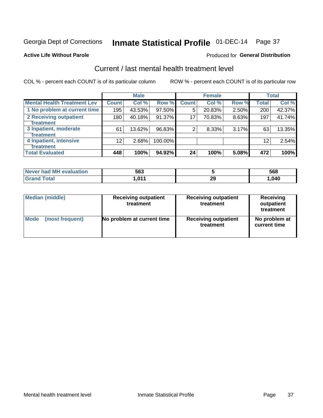## Inmate Statistical Profile 01-DEC-14 Page 37

#### **Active Life Without Parole**

#### Produced for General Distribution

## Current / last mental health treatment level

COL % - percent each COUNT is of its particular column

|                                    |                 | <b>Male</b> |           |              | <b>Female</b> |       |                   | <b>Total</b> |
|------------------------------------|-----------------|-------------|-----------|--------------|---------------|-------|-------------------|--------------|
| <b>Mental Health Treatment Lev</b> | <b>Count</b>    | Col %       | Row %     | <b>Count</b> | Col%          | Row % | <b>Total</b>      | Col %        |
| 1 No problem at current time       | 195             | 43.53%      | 97.50%    | 5            | 20.83%        | 2.50% | 200               | 42.37%       |
| 2 Receiving outpatient             | 180             | 40.18%      | $91.37\%$ | 17           | 70.83%        | 8.63% | 197               | 41.74%       |
| <b>Treatment</b>                   |                 |             |           |              |               |       |                   |              |
| 3 Inpatient, moderate              | 61              | 13.62%      | 96.83%    | 2            | 8.33%         | 3.17% | 63                | 13.35%       |
| <b>Treatment</b>                   |                 |             |           |              |               |       |                   |              |
| 4 Inpatient, intensive             | 12 <sub>2</sub> | 2.68%       | 100.00%   |              |               |       | $12 \overline{ }$ | 2.54%        |
| <b>Treatment</b>                   |                 |             |           |              |               |       |                   |              |
| <b>Total Evaluated</b>             | 448             | 100%        | 94.92%    | 24           | 100%          | 5.08% | 472               | 100%         |

| Never had MH evaluation | 563   |    | 568  |
|-------------------------|-------|----|------|
| Total                   | 1.011 | ∠ะ | .040 |

| <b>Median (middle)</b> | <b>Receiving outpatient</b><br>treatment | <b>Receiving outpatient</b><br>treatment | <b>Receiving</b><br>outpatient<br>treatment |  |
|------------------------|------------------------------------------|------------------------------------------|---------------------------------------------|--|
| <b>Mode</b>            | No problem at current time               | <b>Receiving outpatient</b>              | No problem at                               |  |
| (most frequent)        |                                          | treatment                                | current time                                |  |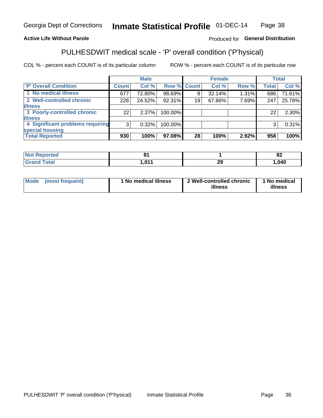#### Inmate Statistical Profile 01-DEC-14 Page 38

### **Active Life Without Parole**

### Produced for General Distribution

## PULHESDWIT medical scale - 'P' overall condition ('P'hysical)

COL % - percent each COUNT is of its particular column

|                                  |         | <b>Male</b> |                    |    | <b>Female</b> |          |              | <b>Total</b> |
|----------------------------------|---------|-------------|--------------------|----|---------------|----------|--------------|--------------|
| 'P' Overall Condition            | Count l | Col %       | <b>Row % Count</b> |    | Col %         | Row %    | <b>Total</b> | Col %        |
| 1 No medical illness             | 677     | 72.80%      | 98.69%             | 9  | 32.14%        | $1.31\%$ | 686          | 71.61%       |
| 2 Well-controlled chronic        | 228     | 24.52%      | 92.31%             | 19 | 67.86%        | 7.69%    | 247          | 25.78%       |
| <b>illness</b>                   |         |             |                    |    |               |          |              |              |
| 3 Poorly-controlled chronic      | 22      | $2.37\%$    | 100.00%            |    |               |          | 22           | 2.30%        |
| <b>illness</b>                   |         |             |                    |    |               |          |              |              |
| 4 Significant problems requiring | 3       | 0.32%       | 100.00%            |    |               |          | 3            | 0.31%        |
| special housing                  |         |             |                    |    |               |          |              |              |
| <b>Total Reported</b>            | 930     | 100%        | 97.08%             | 28 | 100%          | 2.92%    | 958          | 100%         |

|                  |                                  | $\mathbf{a}$<br>OZ. |
|------------------|----------------------------------|---------------------|
| 104 <sub>4</sub> | $\overline{ }$<br>$\overline{z}$ | ,040                |

| <b>Mode</b> | (most frequent) | 1 No medical illness | 2 Well-controlled chronic<br>illness | 1 No medical<br>illness |
|-------------|-----------------|----------------------|--------------------------------------|-------------------------|
|-------------|-----------------|----------------------|--------------------------------------|-------------------------|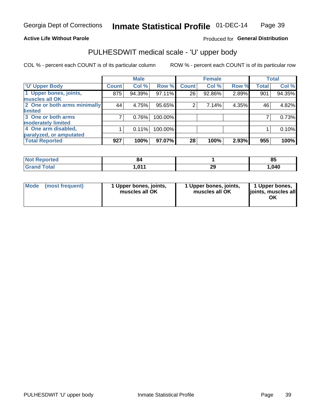### **Active Life Without Parole**

### Produced for General Distribution

## PULHESDWIT medical scale - 'U' upper body

COL % - percent each COUNT is of its particular column

|                              |               | <b>Male</b> |           |              | <b>Female</b> |       |              | <b>Total</b> |
|------------------------------|---------------|-------------|-----------|--------------|---------------|-------|--------------|--------------|
| <b>U' Upper Body</b>         | <b>Count!</b> | Col %       | Row %     | <b>Count</b> | Col %         | Row % | <b>Total</b> | Col %        |
| 1 Upper bones, joints,       | 875           | 94.39%      | $97.11\%$ | 26           | 92.86%        | 2.89% | 901          | 94.35%       |
| muscles all OK               |               |             |           |              |               |       |              |              |
| 2 One or both arms minimally | 44            | 4.75%       | 95.65%    | 2            | 7.14%         | 4.35% | 46           | 4.82%        |
| limited                      |               |             |           |              |               |       |              |              |
| 3 One or both arms           | 7             | 0.76%       | 100.00%   |              |               |       |              | 0.73%        |
| <b>moderately limited</b>    |               |             |           |              |               |       |              |              |
| 4 One arm disabled,          |               | 0.11%       | 100.00%   |              |               |       |              | 0.10%        |
| paralyzed, or amputated      |               |             |           |              |               |       |              |              |
| <b>Total Reported</b>        | 927           | 100%        | 97.07%    | 28           | 100%          | 2.93% | 955          | 100%         |

| <b>Not Reported</b> | Ω£                   |          | ОΙ<br>o. |
|---------------------|----------------------|----------|----------|
| <b>Total</b>        | 01 <sup>4</sup><br>. | າເ<br>23 | ,040     |

| Mode | (most frequent) | 1 Upper bones, joints,<br>muscles all OK | 1 Upper bones, joints,<br>muscles all OK | 1 Upper bones,<br>ljoints, muscles all<br>OK |
|------|-----------------|------------------------------------------|------------------------------------------|----------------------------------------------|
|------|-----------------|------------------------------------------|------------------------------------------|----------------------------------------------|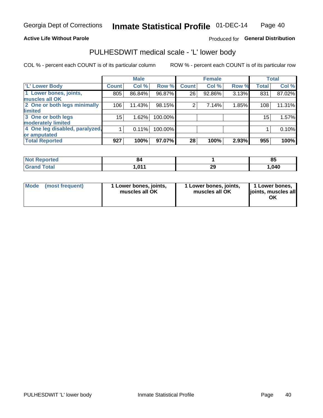### **Active Life Without Parole**

### Produced for General Distribution

### PULHESDWIT medical scale - 'L' lower body

COL % - percent each COUNT is of its particular column

|                                |              | <b>Male</b> |           |              | <b>Female</b> |       |                 | <b>Total</b> |
|--------------------------------|--------------|-------------|-----------|--------------|---------------|-------|-----------------|--------------|
| 'L' Lower Body                 | <b>Count</b> | Col %       | Row %     | <b>Count</b> | Col %         | Row % | <b>Total</b>    | Col %        |
| 1 Lower bones, joints,         | 805          | 86.84%      | 96.87%    | 26           | 92.86%        | 3.13% | 831             | 87.02%       |
| muscles all OK                 |              |             |           |              |               |       |                 |              |
| 2 One or both legs minimally   | 106          | 11.43%      | 98.15%    | 2            | 7.14%         | 1.85% | 108             | 11.31%       |
| limited                        |              |             |           |              |               |       |                 |              |
| 3 One or both legs             | 15           | 1.62%       | 100.00%   |              |               |       | 15 <sub>1</sub> | 1.57%        |
| moderately limited             |              |             |           |              |               |       |                 |              |
| 4 One leg disabled, paralyzed, |              | 0.11%       | 100.00%   |              |               |       |                 | 0.10%        |
| or amputated                   |              |             |           |              |               |       |                 |              |
| <b>Total Reported</b>          | 927          | 100%        | $97.07\%$ | 28           | 100%          | 2.93% | 955             | 100%         |

| <b>Not Reported</b> | O4           |          | ОΙ<br>o. |
|---------------------|--------------|----------|----------|
| <b>Total</b>        | .011<br>.v.i | າເ<br>23 | ,040     |

| Mode | (most frequent) | 1 Lower bones, joints,<br>muscles all OK | 1 Lower bones, joints,<br>muscles all OK | 1 Lower bones,<br>ljoints, muscles all<br>OK |
|------|-----------------|------------------------------------------|------------------------------------------|----------------------------------------------|
|------|-----------------|------------------------------------------|------------------------------------------|----------------------------------------------|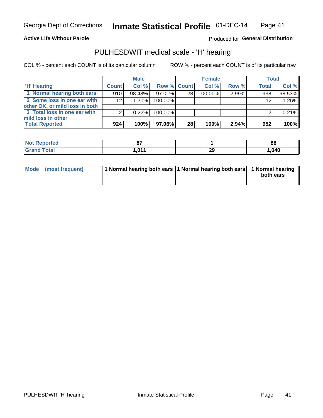**Active Life Without Parole** 

Produced for General Distribution

### PULHESDWIT medical scale - 'H' hearing

COL % - percent each COUNT is of its particular column

|                                                               |              | <b>Male</b> |             |    | <b>Female</b> |       | <b>Total</b>      |        |
|---------------------------------------------------------------|--------------|-------------|-------------|----|---------------|-------|-------------------|--------|
| <b>H'</b> Hearing                                             | <b>Count</b> | Col%        | Row % Count |    | Col%          | Row % | Total             | Col %  |
| 1 Normal hearing both ears                                    | 910          | 98.48%      | 97.01%      | 28 | $100.00\%$    | 2.99% | 938               | 98.53% |
| 2 Some loss in one ear with<br>other OK, or mild loss in both | 12           | 1.30%       | 100.00%     |    |               |       | $12 \overline{ }$ | 1.26%  |
| 3 Total loss in one ear with<br>mild loss in other            | 2            | 0.22%       | 100.00%     |    |               |       |                   | 0.21%  |
| <b>Total Reported</b>                                         | 924          | 100%        | 97.06%      | 28 | 100%          | 2.94% | 952               | 100%   |

| <b>Not</b><br><b>Reported</b> | ~-         |           | 88     |
|-------------------------------|------------|-----------|--------|
| <b>Total</b>                  | 0.44<br>v. | ົດຕ<br>-3 | 040, ، |

| Mode (most frequent) | 1 Normal hearing both ears 1 Normal hearing both ears 1 Normal hearing | both ears |
|----------------------|------------------------------------------------------------------------|-----------|
|                      |                                                                        |           |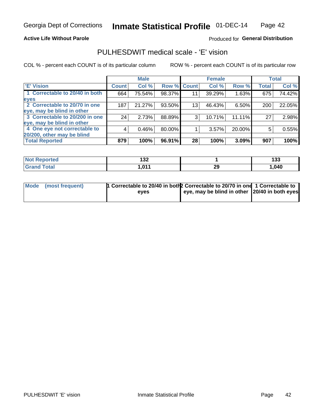### **Active Life Without Parole**

### Produced for General Distribution

### PULHESDWIT medical scale - 'E' vision

COL % - percent each COUNT is of its particular column

|                                |              | <b>Male</b> |        |                 | <b>Female</b> |        |              | <b>Total</b> |
|--------------------------------|--------------|-------------|--------|-----------------|---------------|--------|--------------|--------------|
| <b>E' Vision</b>               | <b>Count</b> | Col %       | Row %  | <b>Count</b>    | Col %         | Row %  | <b>Total</b> | Col %        |
| 1 Correctable to 20/40 in both | 664          | 75.54%      | 98.37% | 11              | 39.29%        | 1.63%  | 675          | 74.42%       |
| eyes                           |              |             |        |                 |               |        |              |              |
| 2 Correctable to 20/70 in one  | 187          | 21.27%      | 93.50% | 13 <sub>1</sub> | 46.43%        | 6.50%  | 200          | 22.05%       |
| eye, may be blind in other     |              |             |        |                 |               |        |              |              |
| 3 Correctable to 20/200 in one | 24           | 2.73%       | 88.89% | 3               | 10.71%        | 11.11% | 27           | 2.98%        |
| eye, may be blind in other     |              |             |        |                 |               |        |              |              |
| 4 One eye not correctable to   | 4            | 0.46%       | 80.00% |                 | 3.57%         | 20.00% | 5            | 0.55%        |
| 20/200, other may be blind     |              |             |        |                 |               |        |              |              |
| <b>Total Reported</b>          | 879          | 100%        | 96.91% | 28              | 100%          | 3.09%  | 907          | 100%         |

| <b>Not Reported</b> | ៱៱៱<br>1 J L |          | 42c<br>133 |
|---------------------|--------------|----------|------------|
| Total               | 011<br>ווטו  | nr<br>23 | ,040       |

| Mode (most frequent) | 1 Correctable to 20/40 in both 2 Correctable to 20/70 in one 1 Correctable to<br>eves | eye, may be blind in other 120/40 in both eyes |  |
|----------------------|---------------------------------------------------------------------------------------|------------------------------------------------|--|
|                      |                                                                                       |                                                |  |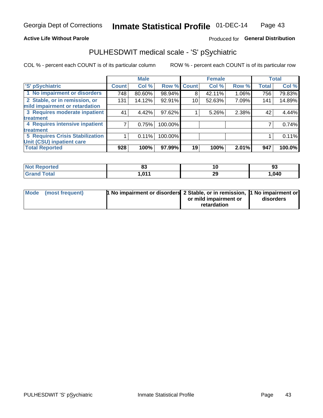### **Active Life Without Parole**

### Produced for General Distribution

## PULHESDWIT medical scale - 'S' pSychiatric

COL % - percent each COUNT is of its particular column

|                                        |              | <b>Male</b> |         |             | <b>Female</b> |       |              | <b>Total</b> |
|----------------------------------------|--------------|-------------|---------|-------------|---------------|-------|--------------|--------------|
| 'S' pSychiatric                        | <b>Count</b> | Col %       |         | Row % Count | Col %         | Row % | <b>Total</b> | Col %        |
| 1 No impairment or disorders           | 748          | 80.60%      | 98.94%  | 8           | 42.11%        | 1.06% | 756          | 79.83%       |
| 2 Stable, or in remission, or          | 131          | 14.12%      | 92.91%  | 10          | 52.63%        | 7.09% | 141          | 14.89%       |
| mild impairment or retardation         |              |             |         |             |               |       |              |              |
| 3 Requires moderate inpatient          | 41           | 4.42%       | 97.62%  |             | 5.26%         | 2.38% | 42           | 4.44%        |
| treatment                              |              |             |         |             |               |       |              |              |
| 4 Requires intensive inpatient         |              | 0.75%       | 100.00% |             |               |       |              | 0.74%        |
| treatment                              |              |             |         |             |               |       |              |              |
| <b>5 Requires Crisis Stabilization</b> |              | 0.11%       | 100.00% |             |               |       |              | 0.11%        |
| Unit (CSU) inpatient care              |              |             |         |             |               |       |              |              |
| <b>Total Reported</b>                  | 928          | 100%        | 97.99%  | 19          | 100%          | 2.01% | 947          | 100.0%       |

| <b>Reported</b><br><b>Not</b> | e.<br>ິ    | 10      | 93    |
|-------------------------------|------------|---------|-------|
| <b>Total</b>                  | 011<br>.v. | ົ<br>23 | 1,040 |

| Mode (most frequent) | <b>1 No impairment or disorders</b> 2 Stable, or in remission, 11 No impairment or |                       |           |
|----------------------|------------------------------------------------------------------------------------|-----------------------|-----------|
|                      |                                                                                    | or mild impairment or | disorders |
|                      |                                                                                    | retardation           |           |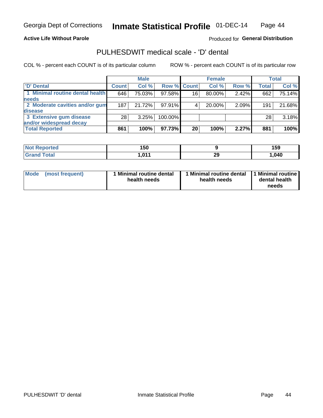**Active Life Without Parole** 

Produced for General Distribution

### PULHESDWIT medical scale - 'D' dental

COL % - percent each COUNT is of its particular column

|                                 |              | <b>Male</b> |             |    | <b>Female</b> |       |              | Total  |
|---------------------------------|--------------|-------------|-------------|----|---------------|-------|--------------|--------|
| D' Dental                       | <b>Count</b> | Col %       | Row % Count |    | Col %         | Row % | <b>Total</b> | Col %  |
| 1 Minimal routine dental health | 646          | 75.03%      | 97.58%      | 16 | 80.00%        | 2.42% | 662          | 75.14% |
| <b>needs</b>                    |              |             |             |    |               |       |              |        |
| 2 Moderate cavities and/or gum  | 187          | 21.72%      | 97.91%      |    | 20.00%        | 2.09% | 191          | 21.68% |
| disease                         |              |             |             |    |               |       |              |        |
| 3 Extensive gum disease         | 28           | 3.25%       | 100.00%     |    |               |       | 28           | 3.18%  |
| and/or widespread decay         |              |             |             |    |               |       |              |        |
| <b>Total Reported</b>           | 861          | 100%        | 97.73%      | 20 | 100%          | 2.27% | 881          | 100%   |

| prtea<br>NOT R | 150         |          | 159  |
|----------------|-------------|----------|------|
| <b>Total</b>   | 011<br>ו שו | ንር<br>23 | .040 |

| <b>Mode</b><br><b>Minimal routine dental</b><br>(most frequent)<br>health needs | Minimal routine dental<br>health needs | 1 Minimal routine<br>dental health<br>needs |
|---------------------------------------------------------------------------------|----------------------------------------|---------------------------------------------|
|---------------------------------------------------------------------------------|----------------------------------------|---------------------------------------------|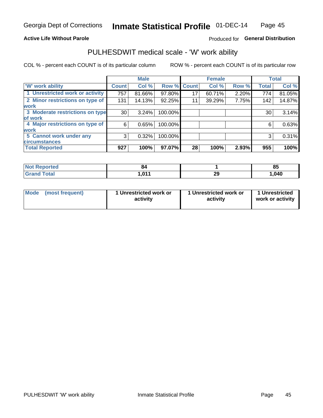### **Active Life Without Parole**

### Produced for General Distribution

### PULHESDWIT medical scale - 'W' work ability

COL % - percent each COUNT is of its particular column

|                                 |              | <b>Male</b> |         |             | <b>Female</b> |       |              | <b>Total</b> |
|---------------------------------|--------------|-------------|---------|-------------|---------------|-------|--------------|--------------|
| <b>W' work ability</b>          | <b>Count</b> | Col %       |         | Row % Count | Col %         | Row % | <b>Total</b> | Col %        |
| 1 Unrestricted work or activity | 757          | 81.66%      | 97.80%  | 17          | 60.71%        | 2.20% | 774          | 81.05%       |
| 2 Minor restrictions on type of | 131          | 14.13%      | 92.25%  | 11          | 39.29%        | 7.75% | 142          | 14.87%       |
| <b>work</b>                     |              |             |         |             |               |       |              |              |
| 3 Moderate restrictions on type | 30           | 3.24%       | 100.00% |             |               |       | 30           | 3.14%        |
| lof work                        |              |             |         |             |               |       |              |              |
| 4 Major restrictions on type of | 6            | 0.65%       | 100.00% |             |               |       | 6            | 0.63%        |
| <b>work</b>                     |              |             |         |             |               |       |              |              |
| 5 Cannot work under any         | 3            | 0.32%       | 100.00% |             |               |       | 3            | 0.31%        |
| <b>circumstances</b>            |              |             |         |             |               |       |              |              |
| <b>Total Reported</b>           | 927          | 100%        | 97.07%  | 28          | 100%          | 2.93% | 955          | 100%         |

| <b>Not Reported</b> | m            |          | o,<br>ວວ |
|---------------------|--------------|----------|----------|
| <b>Grand Total</b>  | 011<br>1.VII | חה<br>23 | .040     |

| Mode            | 1 Unrestricted work or | 1 Unrestricted work or | 1 Unrestricted   |
|-----------------|------------------------|------------------------|------------------|
| (most frequent) | activity               | activity               | work or activity |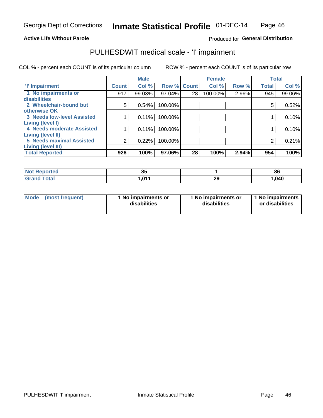#### **Active Life Without Parole**

### Produced for General Distribution

### PULHESDWIT medical scale - 'I' impairment

|                                                              |              | <b>Male</b> |             |    | <b>Female</b> |       |              | <b>Total</b> |
|--------------------------------------------------------------|--------------|-------------|-------------|----|---------------|-------|--------------|--------------|
| <b>T' Impairment</b>                                         | <b>Count</b> | Col %       | Row % Count |    | Col %         | Row % | <b>Total</b> | Col %        |
| 1 No impairments or<br><b>disabilities</b>                   | 917          | 99.03%      | 97.04%      | 28 | 100.00%       | 2.96% | 945          | 99.06%       |
| 2 Wheelchair-bound but                                       | 5            | 0.54%       | 100.00%     |    |               |       | 5            | 0.52%        |
| otherwise OK<br><b>3 Needs low-level Assisted</b>            |              | 0.11%       | 100.00%     |    |               |       |              | 0.10%        |
| Living (level I)<br>4 Needs moderate Assisted                |              | 0.11%       | 100.00%     |    |               |       |              | 0.10%        |
| <b>Living (level II)</b>                                     |              |             |             |    |               |       |              |              |
| <b>5 Needs maximal Assisted</b><br><b>Living (level III)</b> | 2            | 0.22%       | 100.00%     |    |               |       | 2            | 0.21%        |
| <b>Total Reported</b>                                        | 926          | 100%        | 97.06%      | 28 | 100%          | 2.94% | 954          | 100%         |

| orted       | ٥Ľ<br>ິ |          | 86    |
|-------------|---------|----------|-------|
| <b>otal</b> | l.011   | חה<br>23 | 1,040 |

| Mode | (most frequent) | 1 No impairments or<br>disabilities | 1 No impairments or<br>disabilities | 1 No impairments<br>or disabilities |
|------|-----------------|-------------------------------------|-------------------------------------|-------------------------------------|
|------|-----------------|-------------------------------------|-------------------------------------|-------------------------------------|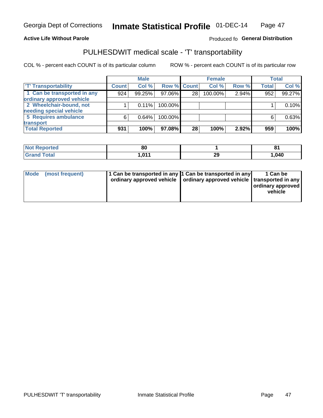### **Active Life Without Parole**

### Produced fo General Distribution

### PULHESDWIT medical scale - 'T' transportability

COL % - percent each COUNT is of its particular column

|                             |              | <b>Male</b> |             |    | <b>Female</b> |       |              | <b>Total</b> |
|-----------------------------|--------------|-------------|-------------|----|---------------|-------|--------------|--------------|
| <b>T' Transportability</b>  | <b>Count</b> | Col %       | Row % Count |    | Col %         | Row % | <b>Total</b> | Col %        |
| 1 Can be transported in any | 924          | 99.25%      | 97.06%      | 28 | 100.00%       | 2.94% | 952          | 99.27%       |
| ordinary approved vehicle   |              |             |             |    |               |       |              |              |
| 2 Wheelchair-bound, not     |              | 0.11%       | 100.00%     |    |               |       |              | 0.10%        |
| needing special vehicle     |              |             |             |    |               |       |              |              |
| 5 Requires ambulance        | 6            | 0.64%       | 100.00%     |    |               |       |              | 0.63%        |
| transport                   |              |             |             |    |               |       |              |              |
| <b>Total Reported</b>       | 931          | 100%        | 97.08%      | 28 | 100%          | 2.92% | 959          | 100%         |

| w    | $^{\circ}$ |         | . .   |
|------|------------|---------|-------|
| rreo | ou         |         | u     |
|      | 044        | ົ<br>ZJ | 1,040 |

| <b>Mode</b> | (most frequent) | 1 Can be transported in any 1 Can be transported in any | ordinary approved vehicle   ordinary approved vehicle   transported in any | 1 Can be<br>  ordinary approved<br>vehicle |
|-------------|-----------------|---------------------------------------------------------|----------------------------------------------------------------------------|--------------------------------------------|
|             |                 |                                                         |                                                                            |                                            |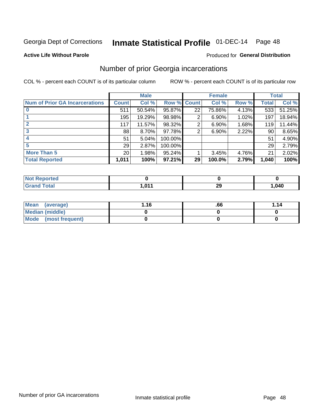## Inmate Statistical Profile 01-DEC-14 Page 48

#### **Active Life Without Parole**

#### Produced for General Distribution

### Number of prior Georgia incarcerations

COL % - percent each COUNT is of its particular column

|                                       |                 | <b>Male</b> |           |                 | <b>Female</b> |       |       | <b>Total</b> |
|---------------------------------------|-----------------|-------------|-----------|-----------------|---------------|-------|-------|--------------|
| <b>Num of Prior GA Incarcerations</b> | <b>Count</b>    | Col %       | Row %     | <b>Count</b>    | Col %         | Row % | Total | Col %        |
|                                       | 511             | 50.54%      | 95.87%    | 22              | 75.86%        | 4.13% | 533   | 51.25%       |
|                                       | 195             | 19.29%      | 98.98%    | 2               | 6.90%         | 1.02% | 197   | 18.94%       |
|                                       | 117             | 11.57%      | 98.32%    | 2               | 6.90%         | 1.68% | 119   | 11.44%       |
| 3                                     | 88              | 8.70%       | 97.78%    | 2               | 6.90%         | 2.22% | 90    | 8.65%        |
| 4                                     | 51              | 5.04%       | 100.00%   |                 |               |       | 51    | 4.90%        |
| 5                                     | 29              | 2.87%       | 100.00%   |                 |               |       | 29    | 2.79%        |
| <b>More Than 5</b>                    | 20 <sup>°</sup> | 1.98%       | $95.24\%$ |                 | 3.45%         | 4.76% | 21    | 2.02%        |
| <b>Total Reported</b>                 | 1,011           | 100%        | $97.21\%$ | 29 <sup>1</sup> | 100.0%        | 2.79% | 1,040 | 100%         |

| eported<br>NOT       |       |            |        |
|----------------------|-------|------------|--------|
| Total<br>$\sim$ nunu | 1,011 | nr.<br>- - | 040. ا |

| Mean (average)       | 1.16 | .66 | 1.14 |
|----------------------|------|-----|------|
| Median (middle)      |      |     |      |
| Mode (most frequent) |      |     |      |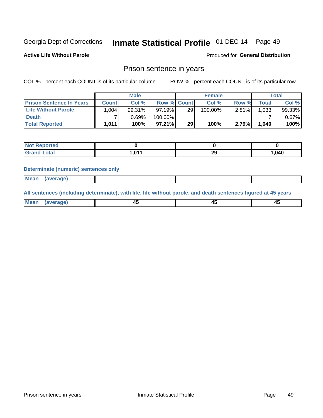## Inmate Statistical Profile 01-DEC-14 Page 49

**Active Life Without Parole** 

Produced for General Distribution

### Prison sentence in years

COL % - percent each COUNT is of its particular column

ROW % - percent each COUNT is of its particular row

|                                 |              | <b>Male</b> |                    |    | <b>Female</b> |          |             | Total  |
|---------------------------------|--------------|-------------|--------------------|----|---------------|----------|-------------|--------|
| <b>Prison Sentence In Years</b> | <b>Count</b> | Col %       | <b>Row % Count</b> |    | $Col \%$      | Row %    | $\tau$ otal | Col %  |
| <b>Life Without Parole</b>      | .004         | 99.31%      | 97.19%             | 29 | 100.00%       | $2.81\%$ | 1,033       | 99.33% |
| <b>Death</b>                    |              | 0.69%       | 100.00%            |    |               |          |             | 0.67%  |
| <b>Total Reported</b>           | 1,011        | 100%        | $97.21\%$          | 29 | 100%          | 2.79%    | 1.040       | 100%   |

| Reported<br><b>NOT</b> |        |          |       |
|------------------------|--------|----------|-------|
| <b>Total</b>           | 011. ا | ററ<br>-- | 1,040 |

#### **Determinate (numeric) sentences only**

| ' Mea<br><b>Service</b> A<br>ЯМА. |  |  |  |
|-----------------------------------|--|--|--|
|                                   |  |  |  |

All sentences (including determinate), with life, life without parole, and death sentences figured at 45 years

| l Mea<br>חר<br> | ᠇៶<br>$\sim$ | $\sim$ | ╌ |
|-----------------|--------------|--------|---|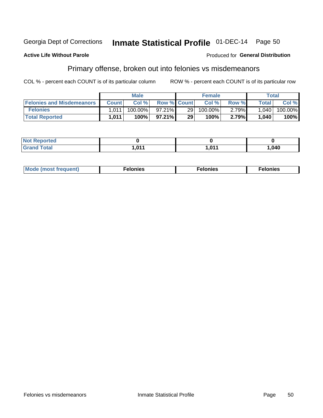#### Inmate Statistical Profile 01-DEC-14 Georgia Dept of Corrections Page 50

#### **Active Life Without Parole**

### **Produced for General Distribution**

### Primary offense, broken out into felonies vs misdemeanors

COL % - percent each COUNT is of its particular column

|                                  |              | <b>Male</b> |                    |     | <b>Female</b> |       | Total   |         |
|----------------------------------|--------------|-------------|--------------------|-----|---------------|-------|---------|---------|
| <b>Felonies and Misdemeanors</b> | <b>Count</b> | Col $%$     | <b>Row % Count</b> |     | Col%          | Row % | Total i | Col %   |
| <b>Felonies</b>                  | 1,011        | 100.00%     | $97.21\%$          | 291 | 100.00%       | 2.79% | 1,040   | 100.00% |
| <b>Total Reported</b>            | 1,011        | $100\%$     | $97.21\%$          | 29  | 100%          | 2.79% | 1,040   | 100%    |

| <b>Not Reported</b> |                        |       |        |
|---------------------|------------------------|-------|--------|
| <b>Grand Total</b>  | <b>044</b><br>I .V I I | 1 N1/ | 040, ا |

| <b>Mode</b><br>frequent)<br>nies<br>≧ (most tr.<br>. | onies<br>. | lonies<br>ею<br>____ |
|------------------------------------------------------|------------|----------------------|
|------------------------------------------------------|------------|----------------------|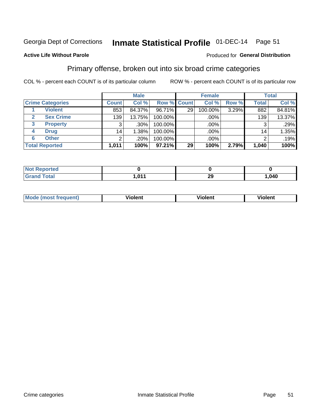#### Inmate Statistical Profile 01-DEC-14 Page 51

### **Active Life Without Parole**

### Produced for General Distribution

### Primary offense, broken out into six broad crime categories

COL % - percent each COUNT is of its particular column

|                         |                 | <b>Male</b> |         |                    | <b>Female</b> |       |                 | <b>Total</b> |
|-------------------------|-----------------|-------------|---------|--------------------|---------------|-------|-----------------|--------------|
| <b>Crime Categories</b> | <b>Count</b>    | Col %       |         | <b>Row % Count</b> | Col %         | Row % | <b>Total</b>    | Col %        |
| <b>Violent</b>          | 853             | 84.37%      | 96.71%  | 29 <sub>1</sub>    | 100.00%       | 3.29% | 882             | 84.81%       |
| <b>Sex Crime</b>        | 139             | 13.75%      | 100.00% |                    | $.00\%$ $ $   |       | 139             | 13.37%       |
| <b>Property</b><br>3    | 3               | .30%        | 100.00% |                    | .00%          |       | 3               | .29%         |
| <b>Drug</b><br>4        | 14 <sub>1</sub> | $1.38\%$    | 100.00% |                    | .00%          |       | 14 <sub>1</sub> | 1.35%        |
| <b>Other</b><br>6       | $\overline{2}$  | .20%        | 100.00% |                    | .00%          |       | っ               | .19%         |
| <b>Total Reported</b>   | 1,011           | 100%        | 97.21%  | 29                 | 100%          | 2.79% | 1,040           | 100%         |

| <b>Not Reported</b> |            |           |        |
|---------------------|------------|-----------|--------|
| <b>Grand Total</b>  | <b>011</b> | ה ה<br>∠খ | 040. ا |

| M | . | 40 O |
|---|---|------|
|   |   |      |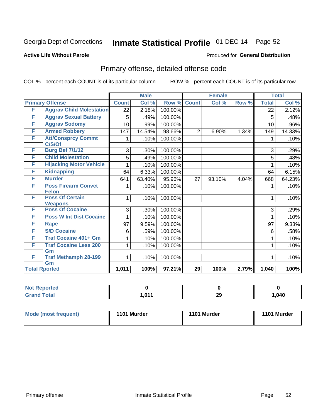## Inmate Statistical Profile 01-DEC-14 Page 52

#### **Active Life Without Parole**

### Produced for General Distribution

## Primary offense, detailed offense code

COL % - percent each COUNT is of its particular column

|                      |                                            |              | <b>Male</b> |         |                 | <b>Female</b> |       |              | <b>Total</b> |
|----------------------|--------------------------------------------|--------------|-------------|---------|-----------------|---------------|-------|--------------|--------------|
|                      | <b>Primary Offense</b>                     | <b>Count</b> | Col%        | Row %   | <b>Count</b>    | Col %         | Row % | <b>Total</b> | Col %        |
| F                    | <b>Aggrav Child Molestation</b>            | 22           | 2.18%       | 100.00% |                 |               |       | 22           | 2.12%        |
| F                    | <b>Aggrav Sexual Battery</b>               | 5            | .49%        | 100.00% |                 |               |       | 5            | .48%         |
| F                    | <b>Aggrav Sodomy</b>                       | 10           | .99%        | 100.00% |                 |               |       | 10           | .96%         |
| F                    | <b>Armed Robbery</b>                       | 147          | 14.54%      | 98.66%  | $\overline{2}$  | 6.90%         | 1.34% | 149          | 14.33%       |
| F                    | <b>Att/Consprcy Commt</b><br>C/S/Of        |              | .10%        | 100.00% |                 |               |       |              | .10%         |
| F                    | <b>Burg Bef 7/1/12</b>                     | 3            | .30%        | 100.00% |                 |               |       | 3            | .29%         |
| F                    | <b>Child Molestation</b>                   | 5            | .49%        | 100.00% |                 |               |       | 5            | .48%         |
| F                    | <b>Hijacking Motor Vehicle</b>             |              | .10%        | 100.00% |                 |               |       |              | .10%         |
| F                    | <b>Kidnapping</b>                          | 64           | 6.33%       | 100.00% |                 |               |       | 64           | 6.15%        |
| F                    | <b>Murder</b>                              | 641          | 63.40%      | 95.96%  | 27              | 93.10%        | 4.04% | 668          | 64.23%       |
| F                    | <b>Poss Firearm Convct</b><br><b>Felon</b> | 1            | .10%        | 100.00% |                 |               |       | 1            | .10%         |
| F                    | <b>Poss Of Certain</b><br><b>Weapons</b>   | 1            | .10%        | 100.00% |                 |               |       | 1            | .10%         |
| F                    | <b>Poss Of Cocaine</b>                     | 3            | .30%        | 100.00% |                 |               |       | 3            | .29%         |
| F                    | <b>Poss W Int Dist Cocaine</b>             | 1            | .10%        | 100.00% |                 |               |       | 1            | .10%         |
| F                    | Rape                                       | 97           | 9.59%       | 100.00% |                 |               |       | 97           | 9.33%        |
| F                    | <b>S/D Cocaine</b>                         | 6            | .59%        | 100.00% |                 |               |       | 6            | .58%         |
| F                    | <b>Traf Cocaine 401+ Gm</b>                |              | .10%        | 100.00% |                 |               |       | 1            | .10%         |
| F                    | <b>Traf Cocaine Less 200</b>               | 1            | .10%        | 100.00% |                 |               |       | 1            | .10%         |
| F                    | Gm<br><b>Traf Methamph 28-199</b>          | $\mathbf 1$  | .10%        | 100.00% |                 |               |       | 1            | .10%         |
|                      | Gm                                         |              |             |         |                 |               |       |              |              |
| <b>Total Rported</b> |                                            | 1,011        | 100%        | 97.21%  | $\overline{29}$ | 100%          | 2.79% | 1,040        | 100%         |

| l Reported<br>NOT. |          |    |        |
|--------------------|----------|----|--------|
| <b>Total</b>       | 1.017    | ົ  | 040، ا |
| Croy               | I .U I I | ∠ะ |        |

| Mode (most frequent) | 1101 Murder | 1101 Murder | 1101 Murder |
|----------------------|-------------|-------------|-------------|
|----------------------|-------------|-------------|-------------|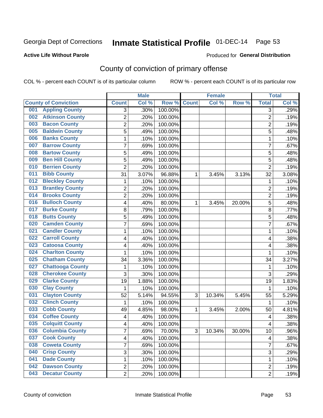## Inmate Statistical Profile 01-DEC-14 Page 53

### **Active Life Without Parole**

#### Produced for General Distribution

## County of conviction of primary offense

COL % - percent each COUNT is of its particular column

|                                |                         | <b>Male</b> |         |              | <b>Female</b> |           |                | <b>Total</b> |
|--------------------------------|-------------------------|-------------|---------|--------------|---------------|-----------|----------------|--------------|
| <b>County of Conviction</b>    | <b>Count</b>            | Col %       | Row %   | <b>Count</b> | Col %         | Row %     | <b>Total</b>   | Col %        |
| <b>Appling County</b><br>001   | 3                       | .30%        | 100.00% |              |               |           | $\overline{3}$ | .29%         |
| <b>Atkinson County</b><br>002  | $\overline{2}$          | .20%        | 100.00% |              |               |           | $\overline{2}$ | .19%         |
| <b>Bacon County</b><br>003     | 2                       | .20%        | 100.00% |              |               |           | $\overline{2}$ | .19%         |
| <b>Baldwin County</b><br>005   | 5                       | .49%        | 100.00% |              |               |           | 5              | .48%         |
| <b>Banks County</b><br>006     | 1                       | .10%        | 100.00% |              |               |           | $\mathbf{1}$   | .10%         |
| <b>Barrow County</b><br>007    | 7                       | .69%        | 100.00% |              |               |           | $\overline{7}$ | .67%         |
| <b>Bartow County</b><br>008    | 5                       | .49%        | 100.00% |              |               |           | 5              | .48%         |
| <b>Ben Hill County</b><br>009  | 5                       | .49%        | 100.00% |              |               |           | 5              | .48%         |
| <b>Berrien County</b><br>010   | $\overline{2}$          | .20%        | 100.00% |              |               |           | $\overline{2}$ | .19%         |
| <b>Bibb County</b><br>011      | 31                      | 3.07%       | 96.88%  | 1            | 3.45%         | 3.13%     | 32             | 3.08%        |
| <b>Bleckley County</b><br>012  | 1                       | .10%        | 100.00% |              |               |           | $\mathbf 1$    | .10%         |
| <b>Brantley County</b><br>013  | $\overline{2}$          | .20%        | 100.00% |              |               |           | $\overline{2}$ | .19%         |
| <b>Brooks County</b><br>014    | 2                       | .20%        | 100.00% |              |               |           | $\overline{2}$ | .19%         |
| <b>Bulloch County</b><br>016   | 4                       | .40%        | 80.00%  | 1            | 3.45%         | 20.00%    | 5              | .48%         |
| <b>Burke County</b><br>017     | 8                       | .79%        | 100.00% |              |               |           | 8              | .77%         |
| <b>Butts County</b><br>018     | 5                       | .49%        | 100.00% |              |               |           | 5              | .48%         |
| <b>Camden County</b><br>020    | 7                       | .69%        | 100.00% |              |               |           | 7              | .67%         |
| <b>Candler County</b><br>021   | 1                       | .10%        | 100.00% |              |               |           | 1              | .10%         |
| <b>Carroll County</b><br>022   | 4                       | .40%        | 100.00% |              |               |           | 4              | .38%         |
| <b>Catoosa County</b><br>023   | 4                       | .40%        | 100.00% |              |               |           | 4              | .38%         |
| <b>Charlton County</b><br>024  | 1                       | .10%        | 100.00% |              |               |           | 1              | .10%         |
| <b>Chatham County</b><br>025   | 34                      | 3.36%       | 100.00% |              |               |           | 34             | 3.27%        |
| <b>Chattooga County</b><br>027 | 1                       | .10%        | 100.00% |              |               |           | 1              | .10%         |
| <b>Cherokee County</b><br>028  | 3                       | .30%        | 100.00% |              |               |           | 3              | .29%         |
| <b>Clarke County</b><br>029    | 19                      | 1.88%       | 100.00% |              |               |           | 19             | 1.83%        |
| <b>Clay County</b><br>030      | 1                       | .10%        | 100.00% |              |               |           | 1              | .10%         |
| <b>Clayton County</b><br>031   | 52                      | 5.14%       | 94.55%  | 3            | 10.34%        | 5.45%     | 55             | 5.29%        |
| <b>Clinch County</b><br>032    | 1                       | .10%        | 100.00% |              |               |           | 1              | .10%         |
| <b>Cobb County</b><br>033      | 49                      | 4.85%       | 98.00%  | 1            | 3.45%         | 2.00%     | 50             | 4.81%        |
| <b>Coffee County</b><br>034    | 4                       | .40%        | 100.00% |              |               |           | 4              | .38%         |
| <b>Colquitt County</b><br>035  | 4                       | .40%        | 100.00% |              |               |           | 4              | .38%         |
| <b>Columbia County</b><br>036  | <sup>'</sup>            | .69%        | 70.00%  | 3            | 10.34%        | $30.00\%$ | 10             | .96%         |
| 037<br><b>Cook County</b>      | $\overline{\mathbf{4}}$ | .40%        | 100.00% |              |               |           | 4              | .38%         |
| <b>Coweta County</b><br>038    | 7                       | .69%        | 100.00% |              |               |           | $\overline{7}$ | .67%         |
| <b>Crisp County</b><br>040     | 3                       | .30%        | 100.00% |              |               |           | 3              | .29%         |
| <b>Dade County</b><br>041      | 1                       | .10%        | 100.00% |              |               |           | 1              | .10%         |
| <b>Dawson County</b><br>042    | $\overline{2}$          | .20%        | 100.00% |              |               |           | $\overline{c}$ | .19%         |
| <b>Decatur County</b><br>043   | $\overline{2}$          | .20%        | 100.00% |              |               |           | $\overline{2}$ | .19%         |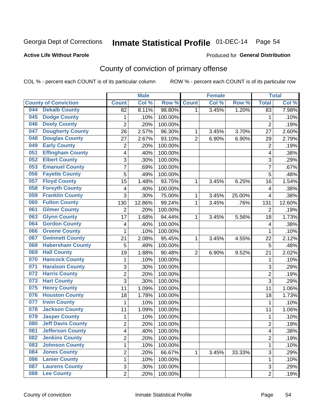## Inmate Statistical Profile 01-DEC-14 Page 54

### **Active Life Without Parole**

#### Produced for General Distribution

## County of conviction of primary offense

COL % - percent each COUNT is of its particular column

|                                 |                | <b>Male</b> |         |                | <b>Female</b> |        |                          | <b>Total</b> |
|---------------------------------|----------------|-------------|---------|----------------|---------------|--------|--------------------------|--------------|
| <b>County of Conviction</b>     | <b>Count</b>   | Col %       | Row %   | <b>Count</b>   | Col %         | Row %  | <b>Total</b>             | Col %        |
| <b>Dekalb County</b><br>044     | 82             | 8.11%       | 98.80%  | 1              | 3.45%         | 1.20%  | 83                       | 7.98%        |
| <b>Dodge County</b><br>045      | 1              | .10%        | 100.00% |                |               |        | 1                        | .10%         |
| <b>Dooly County</b><br>046      | $\overline{c}$ | .20%        | 100.00% |                |               |        | $\overline{2}$           | .19%         |
| <b>Dougherty County</b><br>047  | 26             | 2.57%       | 96.30%  | 1              | 3.45%         | 3.70%  | 27                       | 2.60%        |
| <b>Douglas County</b><br>048    | 27             | 2.67%       | 93.10%  | $\overline{2}$ | 6.90%         | 6.90%  | 29                       | 2.79%        |
| <b>Early County</b><br>049      | $\overline{2}$ | .20%        | 100.00% |                |               |        | $\overline{2}$           | .19%         |
| <b>Effingham County</b><br>051  | 4              | .40%        | 100.00% |                |               |        | 4                        | .38%         |
| <b>Elbert County</b><br>052     | 3              | .30%        | 100.00% |                |               |        | $\overline{3}$           | .29%         |
| <b>Emanuel County</b><br>053    | 7              | .69%        | 100.00% |                |               |        | 7                        | .67%         |
| <b>Fayette County</b><br>056    | $\overline{5}$ | .49%        | 100.00% |                |               |        | 5                        | .48%         |
| <b>Floyd County</b><br>057      | 15             | 1.48%       | 93.75%  | 1              | 3.45%         | 6.25%  | 16                       | 1.54%        |
| <b>Forsyth County</b><br>058    | 4              | .40%        | 100.00% |                |               |        | $\overline{\mathbf{4}}$  | .38%         |
| <b>Franklin County</b><br>059   | 3              | .30%        | 75.00%  | 1              | 3.45%         | 25.00% | $\overline{\mathbf{4}}$  | .38%         |
| <b>Fulton County</b><br>060     | 130            | 12.86%      | 99.24%  | 1              | 3.45%         | .76%   | 131                      | 12.60%       |
| <b>Gilmer County</b><br>061     | $\overline{2}$ | .20%        | 100.00% |                |               |        | $\overline{2}$           | .19%         |
| <b>Glynn County</b><br>063      | 17             | 1.68%       | 94.44%  | 1              | 3.45%         | 5.56%  | 18                       | 1.73%        |
| <b>Gordon County</b><br>064     | 4              | .40%        | 100.00% |                |               |        | $\overline{\mathcal{A}}$ | .38%         |
| <b>Greene County</b><br>066     | 1              | .10%        | 100.00% |                |               |        | 1                        | .10%         |
| <b>Gwinnett County</b><br>067   | 21             | 2.08%       | 95.45%  | 1              | 3.45%         | 4.55%  | 22                       | 2.12%        |
| <b>Habersham County</b><br>068  | 5              | .49%        | 100.00% |                |               |        | 5                        | .48%         |
| <b>Hall County</b><br>069       | 19             | 1.88%       | 90.48%  | $\overline{2}$ | 6.90%         | 9.52%  | 21                       | 2.02%        |
| <b>Hancock County</b><br>070    | 1              | .10%        | 100.00% |                |               |        | $\mathbf{1}$             | .10%         |
| <b>Haralson County</b><br>071   | 3              | .30%        | 100.00% |                |               |        | 3                        | .29%         |
| <b>Harris County</b><br>072     | $\overline{2}$ | .20%        | 100.00% |                |               |        | $\overline{2}$           | .19%         |
| <b>Hart County</b><br>073       | 3              | .30%        | 100.00% |                |               |        | 3                        | .29%         |
| <b>Henry County</b><br>075      | 11             | 1.09%       | 100.00% |                |               |        | 11                       | 1.06%        |
| <b>Houston County</b><br>076    | 18             | 1.78%       | 100.00% |                |               |        | 18                       | 1.73%        |
| <b>Irwin County</b><br>077      | 1              | .10%        | 100.00% |                |               |        | $\mathbf{1}$             | .10%         |
| <b>Jackson County</b><br>078    | 11             | 1.09%       | 100.00% |                |               |        | 11                       | 1.06%        |
| <b>Jasper County</b><br>079     | 1              | .10%        | 100.00% |                |               |        | $\mathbf{1}$             | .10%         |
| <b>Jeff Davis County</b><br>080 | $\overline{2}$ | .20%        | 100.00% |                |               |        | $\overline{2}$           | .19%         |
| 081<br><b>Jefferson County</b>  | 4              | .40%        | 100.00% |                |               |        | 4                        | .38%         |
| <b>Jenkins County</b><br>082    | 2              | .20%        | 100.00% |                |               |        | $\overline{2}$           | .19%         |
| <b>Johnson County</b><br>083    | 1              | .10%        | 100.00% |                |               |        | 1                        | .10%         |
| <b>Jones County</b><br>084      | $\overline{c}$ | .20%        | 66.67%  | 1              | 3.45%         | 33.33% | $\overline{3}$           | .29%         |
| <b>Lanier County</b><br>086     | 1              | .10%        | 100.00% |                |               |        | 1                        | .10%         |
| <b>Laurens County</b><br>087    | 3              | .30%        | 100.00% |                |               |        | 3                        | .29%         |
| <b>Lee County</b><br><b>088</b> | $\overline{2}$ | .20%        | 100.00% |                |               |        | $\overline{2}$           | .19%         |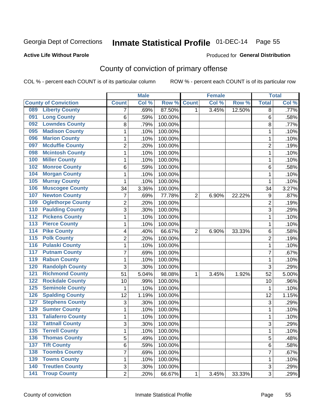## Inmate Statistical Profile 01-DEC-14 Page 55

### **Active Life Without Parole**

#### Produced for General Distribution

## County of conviction of primary offense

COL % - percent each COUNT is of its particular column

|                                         |                           | <b>Male</b> |         |                | <b>Female</b> |        |                | <b>Total</b> |
|-----------------------------------------|---------------------------|-------------|---------|----------------|---------------|--------|----------------|--------------|
| <b>County of Conviction</b>             | <b>Count</b>              | Col %       | Row %   | <b>Count</b>   | Col %         | Row %  | <b>Total</b>   | Col %        |
| <b>Liberty County</b><br>089            | 7                         | .69%        | 87.50%  | 1              | 3.45%         | 12.50% | 8              | .77%         |
| <b>Long County</b><br>091               | 6                         | .59%        | 100.00% |                |               |        | 6              | .58%         |
| <b>Lowndes County</b><br>092            | 8                         | .79%        | 100.00% |                |               |        | 8              | .77%         |
| <b>Madison County</b><br>095            | 1                         | .10%        | 100.00% |                |               |        | 1              | .10%         |
| <b>Marion County</b><br>096             | 1                         | .10%        | 100.00% |                |               |        | 1              | .10%         |
| <b>Mcduffie County</b><br>097           | $\overline{2}$            | .20%        | 100.00% |                |               |        | $\overline{2}$ | .19%         |
| <b>Mcintosh County</b><br>098           | 1                         | .10%        | 100.00% |                |               |        | 1              | .10%         |
| <b>Miller County</b><br>100             | 1                         | .10%        | 100.00% |                |               |        | 1              | .10%         |
| <b>Monroe County</b><br>102             | 6                         | .59%        | 100.00% |                |               |        | 6              | .58%         |
| <b>Morgan County</b><br>104             | $\mathbf{1}$              | .10%        | 100.00% |                |               |        | $\mathbf{1}$   | .10%         |
| <b>Murray County</b><br>105             | 1                         | .10%        | 100.00% |                |               |        | 1              | .10%         |
| <b>Muscogee County</b><br>106           | 34                        | 3.36%       | 100.00% |                |               |        | 34             | 3.27%        |
| <b>Newton County</b><br>107             | 7                         | .69%        | 77.78%  | $\overline{2}$ | 6.90%         | 22.22% | 9              | .87%         |
| <b>Oglethorpe County</b><br>109         | $\overline{2}$            | .20%        | 100.00% |                |               |        | $\overline{2}$ | .19%         |
| <b>Paulding County</b><br>110           | 3                         | .30%        | 100.00% |                |               |        | 3              | .29%         |
| <b>Pickens County</b><br>112            | 1                         | .10%        | 100.00% |                |               |        | $\mathbf{1}$   | .10%         |
| <b>Pierce County</b><br>113             | 1                         | .10%        | 100.00% |                |               |        | 1              | .10%         |
| <b>Pike County</b><br>114               | 4                         | .40%        | 66.67%  | $\overline{2}$ | 6.90%         | 33.33% | 6              | .58%         |
| <b>Polk County</b><br>$\overline{115}$  | $\overline{c}$            | .20%        | 100.00% |                |               |        | $\overline{2}$ | .19%         |
| <b>Pulaski County</b><br>116            | $\mathbf 1$               | .10%        | 100.00% |                |               |        | 1              | .10%         |
| <b>Putnam County</b><br>117             | 7                         | .69%        | 100.00% |                |               |        | 7              | .67%         |
| <b>Rabun County</b><br>119              | $\mathbf{1}$              | .10%        | 100.00% |                |               |        | $\mathbf{1}$   | .10%         |
| <b>Randolph County</b><br>120           | 3                         | .30%        | 100.00% |                |               |        | 3              | .29%         |
| <b>Richmond County</b><br>121           | 51                        | 5.04%       | 98.08%  | 1              | 3.45%         | 1.92%  | 52             | 5.00%        |
| <b>Rockdale County</b><br>122           | 10                        | .99%        | 100.00% |                |               |        | 10             | .96%         |
| 125<br><b>Seminole County</b>           | $\mathbf{1}$              | .10%        | 100.00% |                |               |        | 1              | .10%         |
| <b>Spalding County</b><br>126           | 12                        | 1.19%       | 100.00% |                |               |        | 12             | 1.15%        |
| <b>Stephens County</b><br>127           | $\ensuremath{\mathsf{3}}$ | .30%        | 100.00% |                |               |        | $\sqrt{3}$     | .29%         |
| <b>Sumter County</b><br>129             | $\mathbf{1}$              | .10%        | 100.00% |                |               |        | $\mathbf{1}$   | .10%         |
| <b>Taliaferro County</b><br>131         | $\mathbf{1}$              | .10%        | 100.00% |                |               |        | $\mathbf{1}$   | .10%         |
| <b>Tattnall County</b><br>132           | 3                         | .30%        | 100.00% |                |               |        | 3              | .29%         |
| $135$<br><b>Terrell County</b>          | 1                         | .10%        | 100.00% |                |               |        | 1              | .10%         |
| <b>Thomas County</b><br>136             | 5                         | .49%        | 100.00% |                |               |        | 5              | .48%         |
| $\overline{137}$<br><b>Tift County</b>  | 6                         | .59%        | 100.00% |                |               |        | 6              | .58%         |
| <b>Toombs County</b><br>138             | $\overline{7}$            | .69%        | 100.00% |                |               |        | $\overline{7}$ | .67%         |
| <b>Towns County</b><br>139              | $\mathbf{1}$              | .10%        | 100.00% |                |               |        | $\mathbf{1}$   | .10%         |
| <b>Treutlen County</b><br>140           | 3                         | .30%        | 100.00% |                |               |        | $\mathbf{3}$   | .29%         |
| <b>Troup County</b><br>$\overline{141}$ | $\overline{2}$            | .20%        | 66.67%  | 1              | 3.45%         | 33.33% | 3              | .29%         |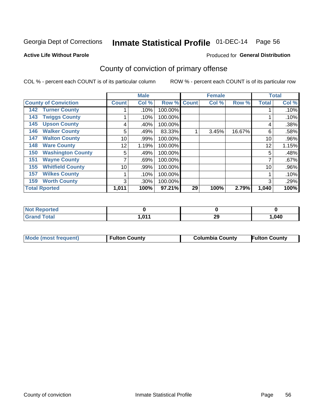## Inmate Statistical Profile 01-DEC-14 Page 56

#### **Active Life Without Parole**

### Produced for General Distribution

## County of conviction of primary offense

COL % - percent each COUNT is of its particular column

|                                 |              | <b>Male</b> |         |              | <b>Female</b> |        |              | <b>Total</b> |
|---------------------------------|--------------|-------------|---------|--------------|---------------|--------|--------------|--------------|
| <b>County of Conviction</b>     | <b>Count</b> | Col %       | Row %   | <b>Count</b> | Col %         | Row %  | <b>Total</b> | Col %        |
| <b>Turner County</b><br>142     |              | .10%        | 100.00% |              |               |        |              | .10%         |
| <b>Twiggs County</b><br>143     |              | .10%        | 100.00% |              |               |        |              | .10%         |
| <b>Upson County</b><br>145      | 4            | .40%        | 100.00% |              |               |        | 4            | .38%         |
| <b>Walker County</b><br>146     | 5            | .49%        | 83.33%  |              | 3.45%         | 16.67% | 6            | .58%         |
| <b>Walton County</b><br>147     | 10           | .99%        | 100.00% |              |               |        | 10           | .96%         |
| <b>Ware County</b><br>148       | 12           | 1.19%       | 100.00% |              |               |        | 12           | 1.15%        |
| <b>Washington County</b><br>150 | 5            | .49%        | 100.00% |              |               |        | 5            | .48%         |
| <b>Wayne County</b><br>151      |              | .69%        | 100.00% |              |               |        | 7            | .67%         |
| <b>Whitfield County</b><br>155  | 10           | .99%        | 100.00% |              |               |        | 10           | .96%         |
| <b>Wilkes County</b><br>157     |              | .10%        | 100.00% |              |               |        |              | .10%         |
| <b>Worth County</b><br>159      | 3            | .30%        | 100.00% |              |               |        | 3            | .29%         |
| <b>Total Rported</b>            | 1,011        | 100%        | 97.21%  | 29           | 100%          | 2.79%  | 1,040        | 100%         |

| N<br>тео    |      |           |      |
|-------------|------|-----------|------|
| <b>otal</b> | .047 | ne.<br>∠ง | ,040 |

| Mode (most frequent) | <b>Columbia County</b> |
|----------------------|------------------------|
| I Fulton County      | <b>Fulton County</b>   |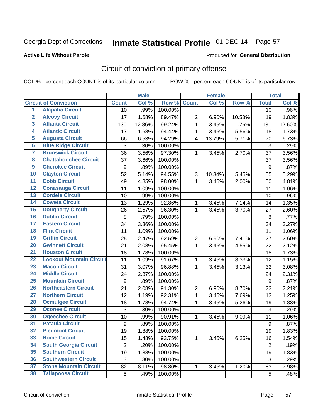## Inmate Statistical Profile 01-DEC-14 Page 57

### **Active Life Without Parole**

#### Produced for General Distribution

## Circuit of conviction of primary offense

COL % - percent each COUNT is of its particular column

|                         |                                 |                  | <b>Male</b> |         |                         | <b>Female</b> |        |                  | <b>Total</b> |
|-------------------------|---------------------------------|------------------|-------------|---------|-------------------------|---------------|--------|------------------|--------------|
|                         | <b>Circuit of Conviction</b>    | <b>Count</b>     | Col %       | Row %   | <b>Count</b>            | Col %         | Row %  | <b>Total</b>     | Col %        |
| 1                       | <b>Alapaha Circuit</b>          | 10               | .99%        | 100.00% |                         |               |        | 10               | .96%         |
| $\overline{2}$          | <b>Alcovy Circuit</b>           | 17               | 1.68%       | 89.47%  | $\overline{2}$          | 6.90%         | 10.53% | 19               | 1.83%        |
| $\overline{\mathbf{3}}$ | <b>Atlanta Circuit</b>          | 130              | 12.86%      | 99.24%  | $\mathbf{1}$            | 3.45%         | .76%   | 131              | 12.60%       |
| 4                       | <b>Atlantic Circuit</b>         | 17               | 1.68%       | 94.44%  | 1                       | 3.45%         | 5.56%  | 18               | 1.73%        |
| $\overline{5}$          | <b>Augusta Circuit</b>          | 66               | 6.53%       | 94.29%  | $\overline{\mathbf{4}}$ | 13.79%        | 5.71%  | 70               | 6.73%        |
| $\overline{6}$          | <b>Blue Ridge Circuit</b>       | $\sqrt{3}$       | .30%        | 100.00% |                         |               |        | $\mathfrak{S}$   | .29%         |
| 7                       | <b>Brunswick Circuit</b>        | 36               | 3.56%       | 97.30%  | 1                       | 3.45%         | 2.70%  | $\overline{37}$  | 3.56%        |
| 8                       | <b>Chattahoochee Circuit</b>    | 37               | 3.66%       | 100.00% |                         |               |        | 37               | 3.56%        |
| $\overline{9}$          | <b>Cherokee Circuit</b>         | 9                | .89%        | 100.00% |                         |               |        | 9                | .87%         |
| 10                      | <b>Clayton Circuit</b>          | 52               | 5.14%       | 94.55%  | 3                       | 10.34%        | 5.45%  | 55               | 5.29%        |
| $\overline{11}$         | <b>Cobb Circuit</b>             | 49               | 4.85%       | 98.00%  | 1                       | 3.45%         | 2.00%  | 50               | 4.81%        |
| 12                      | <b>Conasauga Circuit</b>        | 11               | 1.09%       | 100.00% |                         |               |        | 11               | 1.06%        |
| $\overline{13}$         | <b>Cordele Circuit</b>          | 10               | .99%        | 100.00% |                         |               |        | 10               | .96%         |
| $\overline{14}$         | <b>Coweta Circuit</b>           | 13               | 1.29%       | 92.86%  | $\mathbf{1}$            | 3.45%         | 7.14%  | 14               | 1.35%        |
| $\overline{15}$         | <b>Dougherty Circuit</b>        | 26               | 2.57%       | 96.30%  | 1                       | 3.45%         | 3.70%  | 27               | 2.60%        |
| 16                      | <b>Dublin Circuit</b>           | 8                | .79%        | 100.00% |                         |               |        | 8                | .77%         |
| $\overline{17}$         | <b>Eastern Circuit</b>          | 34               | 3.36%       | 100.00% |                         |               |        | 34               | 3.27%        |
| 18                      | <b>Flint Circuit</b>            | 11               | 1.09%       | 100.00% |                         |               |        | 11               | 1.06%        |
| 19                      | <b>Griffin Circuit</b>          | 25               | 2.47%       | 92.59%  | $\overline{2}$          | 6.90%         | 7.41%  | 27               | 2.60%        |
| 20                      | <b>Gwinnett Circuit</b>         | 21               | 2.08%       | 95.45%  | $\mathbf{1}$            | 3.45%         | 4.55%  | 22               | 2.12%        |
| $\overline{21}$         | <b>Houston Circuit</b>          | 18               | 1.78%       | 100.00% |                         |               |        | 18               | 1.73%        |
| $\overline{22}$         | <b>Lookout Mountain Circuit</b> | 11               | 1.09%       | 91.67%  | $\mathbf{1}$            | 3.45%         | 8.33%  | 12               | 1.15%        |
| 23                      | <b>Macon Circuit</b>            | 31               | 3.07%       | 96.88%  | 1                       | 3.45%         | 3.13%  | 32               | 3.08%        |
| $\overline{24}$         | <b>Middle Circuit</b>           | 24               | 2.37%       | 100.00% |                         |               |        | 24               | 2.31%        |
| $\overline{25}$         | <b>Mountain Circuit</b>         | 9                | .89%        | 100.00% |                         |               |        | 9                | .87%         |
| 26                      | <b>Northeastern Circuit</b>     | 21               | 2.08%       | 91.30%  | $\overline{2}$          | 6.90%         | 8.70%  | 23               | 2.21%        |
| $\overline{27}$         | <b>Northern Circuit</b>         | 12               | 1.19%       | 92.31%  | 1                       | 3.45%         | 7.69%  | 13               | 1.25%        |
| 28                      | <b>Ocmulgee Circuit</b>         | 18               | 1.78%       | 94.74%  | 1                       | 3.45%         | 5.26%  | 19               | 1.83%        |
| 29                      | <b>Oconee Circuit</b>           | 3                | .30%        | 100.00% |                         |               |        | 3                | .29%         |
| 30                      | <b>Ogeechee Circuit</b>         | 10               | .99%        | 90.91%  | 1                       | 3.45%         | 9.09%  | 11               | 1.06%        |
| $\overline{31}$         | <b>Pataula Circuit</b>          | $\boldsymbol{9}$ | .89%        | 100.00% |                         |               |        | $\boldsymbol{9}$ | .87%         |
| 32                      | <b>Piedmont Circuit</b>         | 19               | 1.88%       | 100.00% |                         |               |        | 19               | 1.83%        |
| 33                      | <b>Rome Circuit</b>             | 15               | 1.48%       | 93.75%  | 1                       | 3.45%         | 6.25%  | 16               | 1.54%        |
| 34                      | <b>South Georgia Circuit</b>    | $\overline{2}$   | .20%        | 100.00% |                         |               |        | $\overline{2}$   | .19%         |
| 35                      | <b>Southern Circuit</b>         | 19               | 1.88%       | 100.00% |                         |               |        | 19               | 1.83%        |
| 36                      | <b>Southwestern Circuit</b>     | $\sqrt{3}$       | .30%        | 100.00% |                         |               |        | 3                | .29%         |
| 37                      | <b>Stone Mountain Circuit</b>   | 82               | 8.11%       | 98.80%  | 1                       | 3.45%         | 1.20%  | 83               | 7.98%        |
| 38                      | <b>Tallapoosa Circuit</b>       | 5                | .49%        | 100.00% |                         |               |        | 5                | .48%         |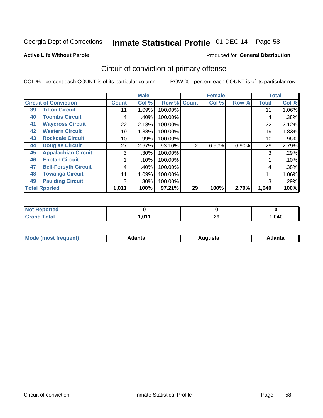## Inmate Statistical Profile 01-DEC-14 Page 58

#### **Active Life Without Parole**

### Produced for General Distribution

## Circuit of conviction of primary offense

COL % - percent each COUNT is of its particular column

|    |                              |              | <b>Male</b> |         |                | <b>Female</b> |       |              | <b>Total</b> |
|----|------------------------------|--------------|-------------|---------|----------------|---------------|-------|--------------|--------------|
|    | <b>Circuit of Conviction</b> | <b>Count</b> | Col %       | Row %   | <b>Count</b>   | Col %         | Row % | <b>Total</b> | Col %        |
| 39 | <b>Tifton Circuit</b>        | 11           | 1.09%       | 100.00% |                |               |       | 11           | 1.06%        |
| 40 | <b>Toombs Circuit</b>        | 4            | .40%        | 100.00% |                |               |       |              | .38%         |
| 41 | <b>Waycross Circuit</b>      | 22           | 2.18%       | 100.00% |                |               |       | 22           | 2.12%        |
| 42 | <b>Western Circuit</b>       | 19           | 1.88%       | 100.00% |                |               |       | 19           | 1.83%        |
| 43 | <b>Rockdale Circuit</b>      | 10           | .99%        | 100.00% |                |               |       | 10           | .96%         |
| 44 | <b>Douglas Circuit</b>       | 27           | 2.67%       | 93.10%  | $\overline{2}$ | 6.90%         | 6.90% | 29           | 2.79%        |
| 45 | <b>Appalachian Circuit</b>   | 3            | $.30\%$     | 100.00% |                |               |       | 3            | .29%         |
| 46 | <b>Enotah Circuit</b>        |              | .10%        | 100.00% |                |               |       |              | .10%         |
| 47 | <b>Bell-Forsyth Circuit</b>  | 4            | .40%        | 100.00% |                |               |       | 4            | .38%         |
| 48 | <b>Towaliga Circuit</b>      | 11           | 1.09%       | 100.00% |                |               |       | 11           | 1.06%        |
| 49 | <b>Paulding Circuit</b>      | 3            | .30%        | 100.00% |                |               |       | 3            | .29%         |
|    | <b>Total Rported</b>         | 1,011        | 100%        | 97.21%  | 29             | 100%          | 2.79% | 1,040        | 100%         |

| rtea |            |            |      |
|------|------------|------------|------|
| --   | <b>011</b> | nr.<br>ZY. | ,040 |

| М<br>. In n tr<br>.<br>.<br>wanta<br>Πū<br>31.<br>$\sim$ $\sim$ $\sim$ |
|------------------------------------------------------------------------|
|------------------------------------------------------------------------|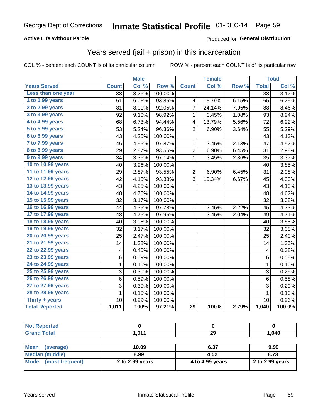### **Active Life Without Parole**

### Produced for General Distribution

### Years served (jail + prison) in this incarceration

COL % - percent each COUNT is of its particular column

|                       |                 | <b>Male</b> |         |                | <b>Female</b> |       |                         | <b>Total</b> |
|-----------------------|-----------------|-------------|---------|----------------|---------------|-------|-------------------------|--------------|
| <b>Years Served</b>   | <b>Count</b>    | Col %       | Row %   | <b>Count</b>   | Col %         | Row % | <b>Total</b>            | Col %        |
| Less than one year    | $\overline{33}$ | 3.26%       | 100.00% |                |               |       | $\overline{33}$         | 3.17%        |
| 1 to 1.99 years       | 61              | 6.03%       | 93.85%  | 4              | 13.79%        | 6.15% | 65                      | 6.25%        |
| 2 to 2.99 years       | 81              | 8.01%       | 92.05%  | 7              | 24.14%        | 7.95% | 88                      | 8.46%        |
| 3 to 3.99 years       | 92              | 9.10%       | 98.92%  | 1              | 3.45%         | 1.08% | 93                      | 8.94%        |
| 4 to 4.99 years       | 68              | 6.73%       | 94.44%  | 4              | 13.79%        | 5.56% | 72                      | 6.92%        |
| 5 to 5.99 years       | 53              | 5.24%       | 96.36%  | $\overline{2}$ | 6.90%         | 3.64% | 55                      | 5.29%        |
| 6 to 6.99 years       | 43              | 4.25%       | 100.00% |                |               |       | 43                      | 4.13%        |
| 7 to 7.99 years       | 46              | 4.55%       | 97.87%  | 1              | 3.45%         | 2.13% | 47                      | 4.52%        |
| 8 to 8.99 years       | 29              | 2.87%       | 93.55%  | 2              | 6.90%         | 6.45% | 31                      | 2.98%        |
| 9 to 9.99 years       | 34              | 3.36%       | 97.14%  | 1              | 3.45%         | 2.86% | 35                      | 3.37%        |
| 10 to 10.99 years     | 40              | 3.96%       | 100.00% |                |               |       | 40                      | 3.85%        |
| 11 to 11.99 years     | 29              | 2.87%       | 93.55%  | $\overline{2}$ | 6.90%         | 6.45% | 31                      | 2.98%        |
| 12 to 12.99 years     | 42              | 4.15%       | 93.33%  | 3              | 10.34%        | 6.67% | 45                      | 4.33%        |
| 13 to 13.99 years     | 43              | 4.25%       | 100.00% |                |               |       | 43                      | 4.13%        |
| 14 to 14.99 years     | 48              | 4.75%       | 100.00% |                |               |       | 48                      | 4.62%        |
| 15 to 15.99 years     | 32              | 3.17%       | 100.00% |                |               |       | 32                      | 3.08%        |
| 16 to 16.99 years     | 44              | 4.35%       | 97.78%  | 1              | 3.45%         | 2.22% | 45                      | 4.33%        |
| 17 to 17.99 years     | 48              | 4.75%       | 97.96%  | 1              | 3.45%         | 2.04% | 49                      | 4.71%        |
| 18 to 18.99 years     | 40              | 3.96%       | 100.00% |                |               |       | 40                      | 3.85%        |
| 19 to 19.99 years     | 32              | 3.17%       | 100.00% |                |               |       | 32                      | 3.08%        |
| 20 to 20.99 years     | 25              | 2.47%       | 100.00% |                |               |       | 25                      | 2.40%        |
| 21 to 21.99 years     | 14              | 1.38%       | 100.00% |                |               |       | 14                      | 1.35%        |
| 22 to 22.99 years     | 4               | 0.40%       | 100.00% |                |               |       | $\overline{\mathbf{4}}$ | 0.38%        |
| 23 to 23.99 years     | 6               | 0.59%       | 100.00% |                |               |       | 6                       | 0.58%        |
| 24 to 24.99 years     | $\mathbf 1$     | 0.10%       | 100.00% |                |               |       | $\mathbf 1$             | 0.10%        |
| 25 to 25.99 years     | 3               | 0.30%       | 100.00% |                |               |       | 3                       | 0.29%        |
| 26 to 26.99 years     | 6               | 0.59%       | 100.00% |                |               |       | 6                       | 0.58%        |
| 27 to 27.99 years     | 3               | 0.30%       | 100.00% |                |               |       | 3                       | 0.29%        |
| 28 to 28.99 years     | 1               | 0.10%       | 100.00% |                |               |       | 1                       | 0.10%        |
| Thirty + years        | 10              | 0.99%       | 100.00% |                |               |       | 10                      | 0.96%        |
| <b>Total Reported</b> | 1,011           | 100%        | 97.21%  | 29             | 100%          | 2.79% | 1,040                   | 100.0%       |

| <b>Not Reported</b>      |                 |                 |                 |  |  |
|--------------------------|-----------------|-----------------|-----------------|--|--|
| <b>Grand Total</b>       | 1,011           | 29              | 1,040           |  |  |
|                          |                 |                 |                 |  |  |
| <b>Mean</b><br>(average) | 10.09           | 6.37            | 9.99            |  |  |
| <b>Median (middle)</b>   | 8.99            | 4.52            | 8.73            |  |  |
| Mode (most frequent)     | 2 to 2.99 years | 4 to 4.99 years | 2 to 2.99 years |  |  |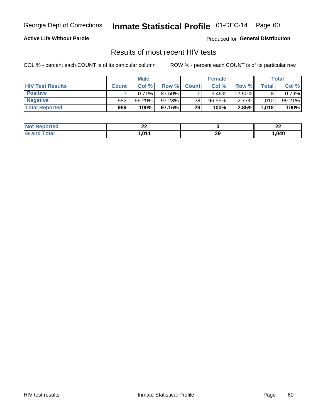## Inmate Statistical Profile 01-DEC-14 Page 60

### **Active Life Without Parole**

Produced for General Distribution

### Results of most recent HIV tests

COL % - percent each COUNT is of its particular column

|                         |              | <b>Male</b> |         |              | <b>Female</b> |          |       | Total  |
|-------------------------|--------------|-------------|---------|--------------|---------------|----------|-------|--------|
| <b>HIV Test Results</b> | <b>Count</b> | Col%        | Row %   | <b>Count</b> | Col %         | Row %    | Total | Col %  |
| <b>Positive</b>         |              | 0.71%       | 87.50%  |              | 3.45%         | 12.50%   |       | 0.79%  |
| <b>Negative</b>         | 982          | 99.29%      | 97.23%  | 28           | $96.55\%$     | $2.77\%$ | 1,010 | 99.21% |
| <b>Total Reported</b>   | 989          | 100%        | 97.15%I | 29           | 100%          | 2.85%    | 1,018 | 100%   |

| <b>Not Reported</b> | n,<br>-- |          | …<br>--<br>—— |
|---------------------|----------|----------|---------------|
| Total<br>Gran       | .011     | 20<br>23 | ,040          |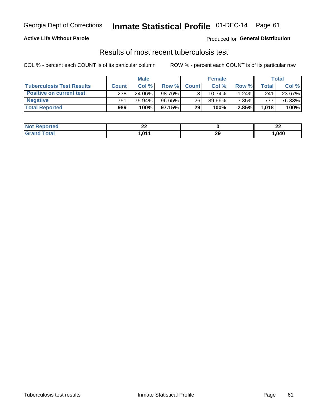## Georgia Dept of Corrections **Inmate Statistical Profile** 01-DEC-14 Page 61

### **Active Life Without Parole**

Produced for **General Distribution**

### Results of most recent tuberculosis test

|                                  |              | <b>Male</b> |           |              | <b>Female</b> |       |       | Total  |
|----------------------------------|--------------|-------------|-----------|--------------|---------------|-------|-------|--------|
| <b>Tuberculosis Test Results</b> | <b>Count</b> | Col%        | Row %I    | <b>Count</b> | Col%          | Row % | Total | Col %  |
| <b>Positive on current test</b>  | 238          | 24.06%      | 98.76%    |              | $10.34\%$     | 1.24% | 241   | 23.67% |
| <b>Negative</b>                  | 751          | 75.94%      | $96.65\%$ | 26           | 89.66%        | 3.35% | 777   | 76.33% |
| <b>Total Reported</b>            | 989          | 100%        | 97.15%    | 29           | 100%          | 2.85% | 1,018 | 100%   |

| Reported<br>l Not | n,<br>" |    | n,<br>--<br>—— |
|-------------------|---------|----|----------------|
| iotal<br>. Grec   | .011    | 29 | ,040           |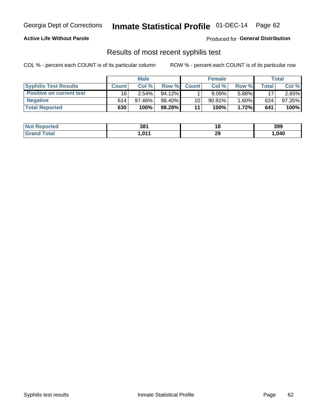## Georgia Dept of Corrections **Inmate Statistical Profile** 01-DEC-14 Page 62

### **Active Life Without Parole**

Produced for **General Distribution**

### Results of most recent syphilis test

|                                 |              | <b>Male</b> |           |              | <b>Female</b> |          |       | Total  |
|---------------------------------|--------------|-------------|-----------|--------------|---------------|----------|-------|--------|
| <b>Syphilis Test Results</b>    | <b>Count</b> | Col %       | Row %     | <b>Count</b> | Col %         | Row %I   | Total | Col %  |
| <b>Positive on current test</b> | 16           | $2.54\%$    | $94.12\%$ |              | 9.09%         | 5.88%    | 17    | 2.65%  |
| <b>Negative</b>                 | 614          | $97.46\%$   | 98.40%    | 10           | $90.91\%$     | $1.60\%$ | 624   | 97.35% |
| <b>Total Reported</b>           | 630          | 100%        | 98.28%    | 11           | 100%          | 1.72%    | 641   | 100%   |

| <b>Not Reported</b> | 381    | 40 | 399  |
|---------------------|--------|----|------|
| <b>Grand Total</b>  | 011, ا | 29 | ,040 |